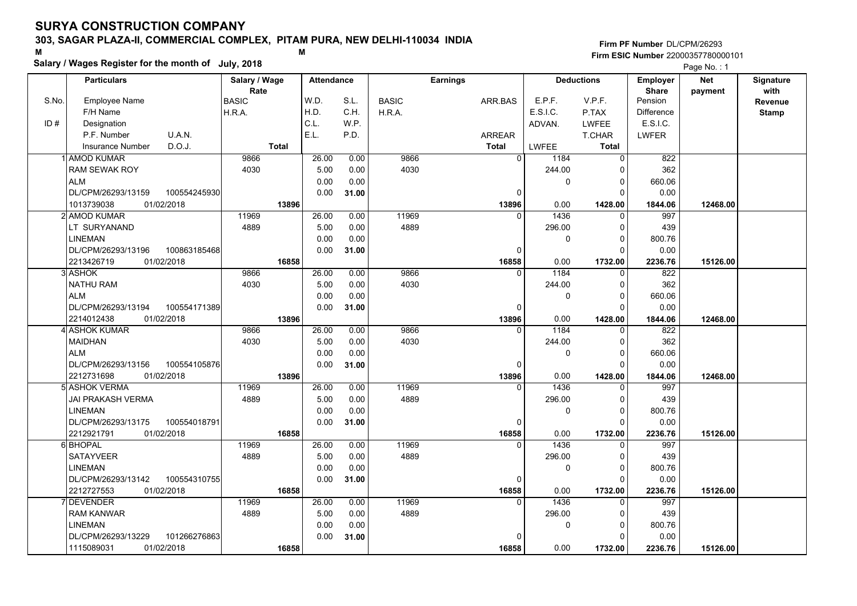## **303, SAGAR PLAZA-II, COMMERCIAL COMPLEX, PITAM PURA, NEW DELHI-110034 INDIA**

**Salary / Wages Register for the month of July, 2018 <sup>M</sup> <sup>M</sup>**

### **Firm PF Number**DL/CPM/26293**Firm ESIC Number** 22000357780000101

|       | <b>Particulars</b>                        | Salary / Wage        | <b>Attendance</b> |              |              | <b>Earnings</b>      |                    | <b>Deductions</b>        | Employer                | <b>Net</b> | Signature                      |
|-------|-------------------------------------------|----------------------|-------------------|--------------|--------------|----------------------|--------------------|--------------------------|-------------------------|------------|--------------------------------|
| S.No. | <b>Employee Name</b>                      | Rate<br><b>BASIC</b> | W.D.              | S.L.         | <b>BASIC</b> | ARR.BAS              | E.P.F.             | V.P.F.                   | <b>Share</b><br>Pension | payment    | with                           |
|       | F/H Name                                  | H.R.A.               | H.D.              | C.H.         | H.R.A.       |                      | E.S.I.C.           | P.TAX                    | <b>Difference</b>       |            | <b>Revenue</b><br><b>Stamp</b> |
| ID#   | Designation                               |                      | C.L.              | W.P.         |              |                      | ADVAN.             | <b>LWFEE</b>             | E.S.I.C.                |            |                                |
|       | U.A.N.<br>P.F. Number                     |                      | E.L.              | P.D.         |              | ARREAR               |                    | T.CHAR                   | <b>LWFER</b>            |            |                                |
|       | D.O.J.<br><b>Insurance Number</b>         | <b>Total</b>         |                   |              |              | <b>Total</b>         | <b>LWFEE</b>       | <b>Total</b>             |                         |            |                                |
|       | 1 AMOD KUMAR                              | 9866                 | 26.00             | 0.00         | 9866         | $\overline{0}$       | 1184               | $\mathbf 0$              | 822                     |            |                                |
|       | <b>RAM SEWAK ROY</b>                      | 4030                 | 5.00              | 0.00         | 4030         |                      | 244.00             | $\Omega$                 | 362                     |            |                                |
|       | <b>ALM</b>                                |                      | 0.00              | 0.00         |              |                      | 0                  | $\mathbf 0$              | 660.06                  |            |                                |
|       | DL/CPM/26293/13159<br>100554245930        |                      | 0.00              | 31.00        |              | 0                    |                    | $\Omega$                 | 0.00                    |            |                                |
|       | 1013739038<br>01/02/2018                  | 13896                |                   |              |              | 13896                | 0.00               | 1428.00                  |                         | 12468.00   |                                |
|       | 2 AMOD KUMAR                              | 11969                | 26.00             | 0.00         | 11969        | $\Omega$             | 1436               | $\Omega$                 | 1844.06<br>997          |            |                                |
|       | LT SURYANAND                              | 4889                 | 5.00              | 0.00         | 4889         |                      | 296.00             | $\Omega$                 | 439                     |            |                                |
|       |                                           |                      |                   |              |              |                      |                    | $\mathbf 0$              |                         |            |                                |
|       | <b>LINEMAN</b><br>DL/CPM/26293/13196      |                      | 0.00              | 0.00         |              |                      | $\mathbf 0$        | $\Omega$                 | 800.76                  |            |                                |
|       | 100863185468<br>2213426719<br>01/02/2018  | 16858                | 0.00              | 31.00        |              | $\mathbf 0$<br>16858 | 0.00               | 1732.00                  | 0.00<br>2236.76         | 15126.00   |                                |
|       | 3 ASHOK                                   | 9866                 | 26.00             | 0.00         | 9866         | $\Omega$             | 1184               | $\Omega$                 | 822                     |            |                                |
|       |                                           |                      |                   |              | 4030         |                      |                    | $\Omega$                 |                         |            |                                |
|       | <b>NATHU RAM</b>                          | 4030                 | 5.00              | 0.00         |              |                      | 244.00             | $\Omega$                 | 362                     |            |                                |
|       | <b>ALM</b>                                |                      | 0.00              | 0.00         |              |                      | 0                  | $\Omega$                 | 660.06                  |            |                                |
|       | DL/CPM/26293/13194<br>100554171389        |                      | 0.00              | 31.00        |              | 0                    |                    |                          | 0.00                    |            |                                |
|       | 01/02/2018<br>2214012438<br>4 ASHOK KUMAR | 13896<br>9866        | 26.00             | 0.00         | 9866         | 13896<br>$\Omega$    | 0.00<br>1184       | 1428.00<br>0             | 1844.06<br>822          | 12468.00   |                                |
|       | <b>MAIDHAN</b>                            | 4030                 |                   |              | 4030         |                      | 244.00             | $\mathbf 0$              | 362                     |            |                                |
|       | <b>ALM</b>                                |                      | 5.00              | 0.00         |              |                      | 0                  | $\Omega$                 |                         |            |                                |
|       | DL/CPM/26293/13156<br>100554105876        |                      | 0.00<br>0.00      | 0.00         |              | $\Omega$             |                    | $\Omega$                 | 660.06<br>0.00          |            |                                |
|       | 2212731698                                |                      |                   | 31.00        |              |                      |                    |                          |                         |            |                                |
|       | 01/02/2018<br>5 ASHOK VERMA               | 13896<br>11969       | 26.00             |              | 11969        | 13896<br>$\Omega$    | 0.00               | 1428.00                  | 1844.06<br>997          | 12468.00   |                                |
|       |                                           | 4889                 |                   | 0.00         |              |                      | 1436               | $\mathbf{0}$<br>$\Omega$ |                         |            |                                |
|       | JAI PRAKASH VERMA<br><b>LINEMAN</b>       |                      | 5.00<br>0.00      | 0.00<br>0.00 | 4889         |                      | 296.00<br>$\Omega$ | $\Omega$                 | 439                     |            |                                |
|       |                                           |                      |                   |              |              |                      |                    | $\Omega$                 | 800.76                  |            |                                |
|       | DL/CPM/26293/13175<br>100554018791        |                      | 0.00              | 31.00        |              | $\mathbf 0$          |                    |                          | 0.00                    |            |                                |
|       | 2212921791<br>01/02/2018                  | 16858<br>11969       |                   |              | 11969        | 16858                | 0.00               | 1732.00                  | 2236.76                 | 15126.00   |                                |
|       | 6 BHOPAL                                  |                      | 26.00             | 0.00         | 4889         | $\Omega$             | 1436               | $\Omega$<br>$\Omega$     | 997                     |            |                                |
|       | <b>SATAYVEER</b>                          | 4889                 | 5.00              | 0.00         |              |                      | 296.00             |                          | 439                     |            |                                |
|       | <b>LINEMAN</b>                            |                      | 0.00              | 0.00         |              |                      | $\mathbf 0$        | $\mathbf 0$              | 800.76                  |            |                                |
|       | DL/CPM/26293/13142<br>100554310755        |                      | 0.00              | 31.00        |              | $\mathbf 0$          |                    | $\Omega$                 | 0.00                    |            |                                |
|       | 2212727553<br>01/02/2018                  | 16858                |                   |              |              | 16858                | 0.00               | 1732.00                  | 2236.76                 | 15126.00   |                                |
|       | <b>DEVENDER</b>                           | 11969                | 26.00             | 0.00         | 11969        | $\Omega$             | 1436               | 0                        | 997                     |            |                                |
|       | <b>RAM KANWAR</b>                         | 4889                 | 5.00              | 0.00         | 4889         |                      | 296.00             | $\Omega$                 | 439                     |            |                                |
|       | <b>LINEMAN</b>                            |                      | 0.00              | 0.00         |              |                      | 0                  | $\mathbf 0$              | 800.76                  |            |                                |
|       | DL/CPM/26293/13229<br>101266276863        |                      | 0.00              | 31.00        |              | 0                    |                    | $\Omega$                 | 0.00                    |            |                                |
|       | 1115089031<br>01/02/2018                  | 16858                |                   |              |              | 16858                | 0.00               | 1732.00                  | 2236.76                 | 15126.00   |                                |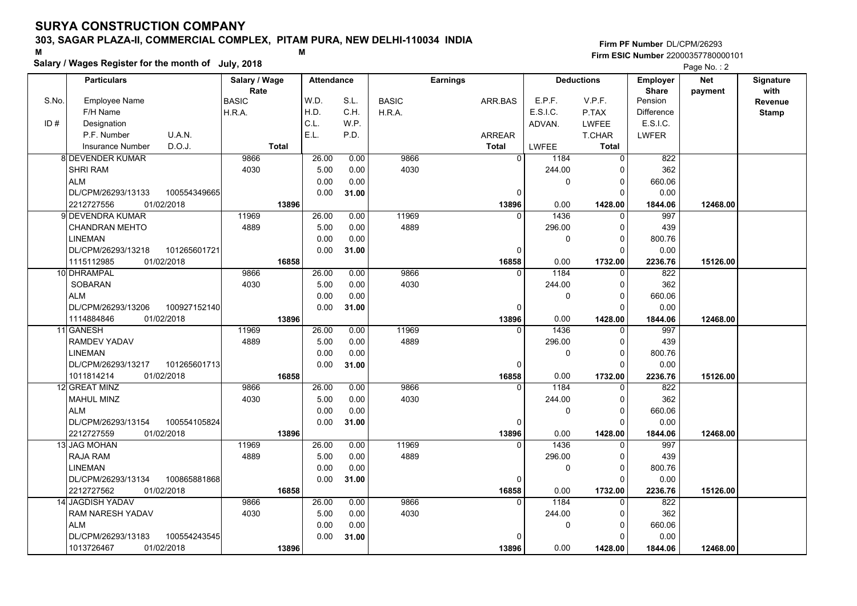## **303, SAGAR PLAZA-II, COMMERCIAL COMPLEX, PITAM PURA, NEW DELHI-110034 INDIA**

**Salary / Wages Register for the month of July, 2018 <sup>M</sup> <sup>M</sup>**

### **Firm PF Number**DL/CPM/26293**Firm ESIC Number** 22000357780000101

|       | <b>Particulars</b>                                   | Salary / Wage        | <b>Attendance</b> |       |              | <b>Earnings</b>   |          | <b>Deductions</b>        | Employer                | <b>Net</b> | Signature       |
|-------|------------------------------------------------------|----------------------|-------------------|-------|--------------|-------------------|----------|--------------------------|-------------------------|------------|-----------------|
| S.No. | <b>Employee Name</b>                                 | Rate<br><b>BASIC</b> | W.D.              | S.L.  | <b>BASIC</b> | ARR.BAS           | E.P.F.   | V.P.F.                   | <b>Share</b><br>Pension | payment    | with<br>Revenue |
|       | F/H Name                                             | H.R.A.               | H.D.              | C.H.  | H.R.A.       |                   | E.S.I.C. | P.TAX                    | <b>Difference</b>       |            | <b>Stamp</b>    |
| ID#   | Designation                                          |                      | C.L.              | W.P.  |              |                   | ADVAN.   | <b>LWFEE</b>             | E.S.I.C.                |            |                 |
|       | U.A.N.<br>P.F. Number                                |                      | E.L.              | P.D.  |              | <b>ARREAR</b>     |          | T.CHAR                   | <b>LWFER</b>            |            |                 |
|       | D.O.J.<br><b>Insurance Number</b>                    | <b>Total</b>         |                   |       |              | <b>Total</b>      | LWFEE    | <b>Total</b>             |                         |            |                 |
|       | 8 DEVENDER KUMAR                                     | 9866                 | 26.00             | 0.00  | 9866         | 0                 | 1184     | $\Omega$                 | 822                     |            |                 |
|       | <b>SHRI RAM</b>                                      | 4030                 | 5.00              | 0.00  | 4030         |                   | 244.00   | 0                        | 362                     |            |                 |
|       | <b>ALM</b>                                           |                      | 0.00              | 0.00  |              |                   | 0        | $\Omega$                 | 660.06                  |            |                 |
|       | DL/CPM/26293/13133<br>100554349665                   |                      | 0.00              | 31.00 |              | $\mathbf 0$       |          | $\Omega$                 | 0.00                    |            |                 |
|       | 01/02/2018<br>2212727556                             | 13896                |                   |       |              | 13896             | 0.00     | 1428.00                  | 1844.06                 | 12468.00   |                 |
|       | 9 DEVENDRA KUMAR                                     | 11969                | 26.00             | 0.00  | 11969        | $\Omega$          | 1436     | $\Omega$                 | 997                     |            |                 |
|       | <b>CHANDRAN MEHTO</b>                                | 4889                 | 5.00              | 0.00  | 4889         |                   | 296.00   | $\Omega$                 | 439                     |            |                 |
|       |                                                      |                      |                   | 0.00  |              |                   |          | 0                        | 800.76                  |            |                 |
|       | <b>LINEMAN</b><br>DL/CPM/26293/13218<br>101265601721 |                      | 0.00<br>0.00      | 31.00 |              | $\Omega$          | 0        | $\Omega$                 | 0.00                    |            |                 |
|       | 1115112985<br>01/02/2018                             | 16858                |                   |       |              | 16858             | 0.00     | 1732.00                  | 2236.76                 | 15126.00   |                 |
|       | 10 DHRAMPAL                                          | 9866                 | 26.00             | 0.00  | 9866         | $\Omega$          | 1184     | $\Omega$                 | 822                     |            |                 |
|       | SOBARAN                                              | 4030                 | 5.00              | 0.00  | 4030         |                   |          | $\Omega$                 | 362                     |            |                 |
|       | <b>ALM</b>                                           |                      | 0.00              | 0.00  |              |                   | 244.00   | $\Omega$                 | 660.06                  |            |                 |
|       | DL/CPM/26293/13206<br>100927152140                   |                      | 0.00              | 31.00 |              | $\Omega$          | 0        | $\Omega$                 | 0.00                    |            |                 |
|       | 01/02/2018                                           | 13896                |                   |       |              | 13896             | 0.00     | 1428.00                  | 1844.06                 | 12468.00   |                 |
|       | 1114884846<br>11 GANESH                              | 11969                | 26.00             | 0.00  | 11969        | $\Omega$          | 1436     | $\Omega$                 | 997                     |            |                 |
|       | <b>RAMDEV YADAV</b>                                  | 4889                 | 5.00              | 0.00  | 4889         |                   | 296.00   | $\Omega$                 | 439                     |            |                 |
|       | <b>LINEMAN</b>                                       |                      | 0.00              |       |              |                   | 0        | $\Omega$                 |                         |            |                 |
|       | DL/CPM/26293/13217<br>101265601713                   |                      | 0.00              | 0.00  |              | $\Omega$          |          | O                        | 800.76<br>0.00          |            |                 |
|       | 1011814214<br>01/02/2018                             | 16858                |                   | 31.00 |              | 16858             | 0.00     |                          |                         | 15126.00   |                 |
|       | 12 GREAT MINZ                                        | 9866                 | 26.00             | 0.00  | 9866         | $\Omega$          | 1184     | 1732.00                  | 2236.76<br>822          |            |                 |
|       | <b>MAHUL MINZ</b>                                    | 4030                 | 5.00              | 0.00  | 4030         |                   | 244.00   | $\Omega$                 | 362                     |            |                 |
|       | <b>ALM</b>                                           |                      | 0.00              | 0.00  |              |                   | 0        | 0                        | 660.06                  |            |                 |
|       | DL/CPM/26293/13154<br>100554105824                   |                      | 0.00              |       |              |                   |          | $\Omega$                 | 0.00                    |            |                 |
|       | 2212727559<br>01/02/2018                             |                      |                   | 31.00 |              | 0                 | 0.00     |                          |                         |            |                 |
|       | <b>13 JAG MOHAN</b>                                  | 13896<br>11969       | 26.00             | 0.00  | 11969        | 13896<br>$\Omega$ | 1436     | 1428.00<br>$\Omega$      | 1844.06<br>997          | 12468.00   |                 |
|       | <b>RAJA RAM</b>                                      | 4889                 | 5.00              | 0.00  | 4889         |                   | 296.00   | $\Omega$                 | 439                     |            |                 |
|       |                                                      |                      |                   |       |              |                   |          |                          |                         |            |                 |
|       | <b>LINEMAN</b>                                       |                      | 0.00              | 0.00  |              |                   | 0        | $\mathbf{0}$<br>$\Omega$ | 800.76                  |            |                 |
|       | DL/CPM/26293/13134<br>100865881868                   |                      | 0.00              | 31.00 |              | 0                 |          |                          | 0.00                    |            |                 |
|       | 2212727562<br>01/02/2018                             | 16858                |                   |       |              | 16858             | 0.00     | 1732.00<br>$\Omega$      | 2236.76                 | 15126.00   |                 |
|       | <b>14 JAGDISH YADAV</b>                              | 9866                 | 26.00             | 0.00  | 9866         | $\Omega$          | 1184     |                          | 822                     |            |                 |
|       | RAM NARESH YADAV                                     | 4030                 | 5.00              | 0.00  | 4030         |                   | 244.00   | $\Omega$                 | 362                     |            |                 |
|       | <b>ALM</b>                                           |                      | 0.00              | 0.00  |              |                   | 0        | $\Omega$                 | 660.06                  |            |                 |
|       | DL/CPM/26293/13183<br>100554243545                   |                      | 0.00              | 31.00 |              | $\Omega$          |          | $\Omega$                 | 0.00                    |            |                 |
|       | 01/02/2018<br>1013726467                             | 13896                |                   |       |              | 13896             | 0.00     | 1428.00                  | 1844.06                 | 12468.00   |                 |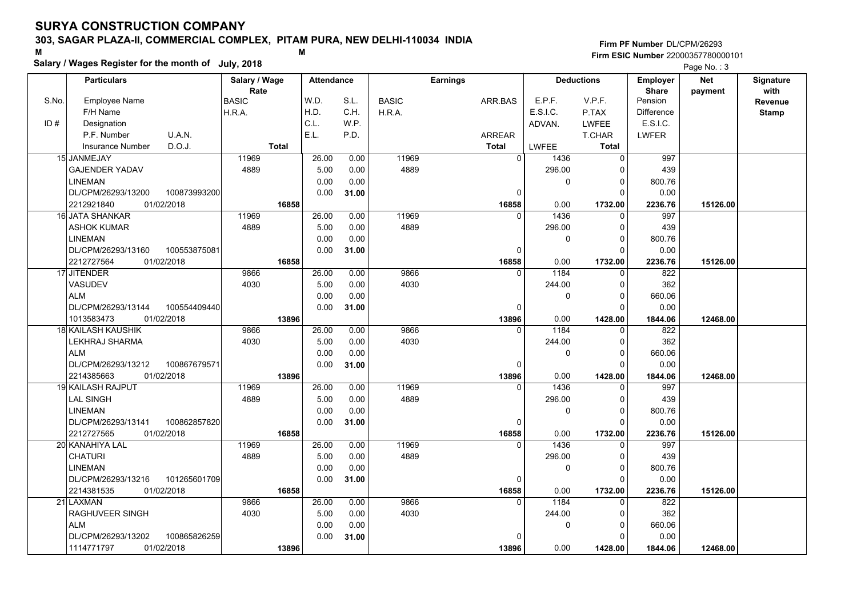### **303, SAGAR PLAZA-II, COMMERCIAL COMPLEX, PITAM PURA, NEW DELHI-110034 INDIA**

**Salary / Wages Register for the month of July, 2018 <sup>M</sup> <sup>M</sup>**

### **Firm PF Number**DL/CPM/26293**Firm ESIC Number** 22000357780000101

|       | <b>Particulars</b>                 | Salary / Wage        | <b>Attendance</b> |       |              | <b>Earnings</b> |          | <b>Deductions</b> | Employer                | <b>Net</b> | Signature<br>with |
|-------|------------------------------------|----------------------|-------------------|-------|--------------|-----------------|----------|-------------------|-------------------------|------------|-------------------|
| S.No. | Employee Name                      | Rate<br><b>BASIC</b> | W.D.              | S.L.  | <b>BASIC</b> | ARR.BAS         | E.P.F.   | V.P.F.            | <b>Share</b><br>Pension | payment    | Revenue           |
|       | F/H Name                           | H.R.A.               | H.D.              | C.H.  | H.R.A.       |                 | E.S.I.C. | P.TAX             | <b>Difference</b>       |            | <b>Stamp</b>      |
| ID#   | Designation                        |                      | C.L.              | W.P.  |              |                 | ADVAN.   | <b>LWFEE</b>      | E.S.I.C.                |            |                   |
|       | U.A.N.<br>P.F. Number              |                      | E.L.              | P.D.  |              | ARREAR          |          | T.CHAR            | <b>LWFER</b>            |            |                   |
|       | D.O.J.<br><b>Insurance Number</b>  | <b>Total</b>         |                   |       |              | <b>Total</b>    | LWFEE    | <b>Total</b>      |                         |            |                   |
|       | 15 JANMEJAY                        | 11969                | 26.00             | 0.00  | 11969        | $\overline{0}$  | 1436     | $\Omega$          | 997                     |            |                   |
|       | <b>GAJENDER YADAV</b>              | 4889                 | 5.00              | 0.00  | 4889         |                 | 296.00   | $\Omega$          | 439                     |            |                   |
|       | <b>LINEMAN</b>                     |                      | 0.00              | 0.00  |              |                 | 0        | 0                 | 800.76                  |            |                   |
|       | 100873993200<br>DL/CPM/26293/13200 |                      | 0.00              | 31.00 |              | 0               |          | $\Omega$          | 0.00                    |            |                   |
|       | 2212921840<br>01/02/2018           | 16858                |                   |       |              | 16858           | 0.00     | 1732.00           | 2236.76                 | 15126.00   |                   |
|       | 16 JATA SHANKAR                    | 11969                | 26.00             | 0.00  | 11969        | $\Omega$        | 1436     | $\Omega$          | 997                     |            |                   |
|       | <b>ASHOK KUMAR</b>                 | 4889                 | 5.00              | 0.00  | 4889         |                 | 296.00   | 0                 | 439                     |            |                   |
|       | <b>LINEMAN</b>                     |                      | 0.00              | 0.00  |              |                 | 0        | $\Omega$          | 800.76                  |            |                   |
|       | DL/CPM/26293/13160<br>100553875081 |                      | 0.00              | 31.00 |              | 0               |          | 0                 | 0.00                    |            |                   |
|       | 2212727564<br>01/02/2018           | 16858                |                   |       |              | 16858           | 0.00     | 1732.00           | 2236.76                 | 15126.00   |                   |
|       | 17 JITENDER                        | 9866                 | 26.00             | 0.00  | 9866         | $\Omega$        | 1184     | $\Omega$          | 822                     |            |                   |
|       | <b>VASUDEV</b>                     | 4030                 | 5.00              | 0.00  | 4030         |                 | 244.00   | $\Omega$          | 362                     |            |                   |
|       | <b>ALM</b>                         |                      | 0.00              | 0.00  |              |                 | 0        | $\mathbf 0$       | 660.06                  |            |                   |
|       | DL/CPM/26293/13144<br>100554409440 |                      | 0.00              | 31.00 |              | $\Omega$        |          | $\Omega$          | 0.00                    |            |                   |
|       | 1013583473<br>01/02/2018           | 13896                |                   |       |              | 13896           | 0.00     | 1428.00           | 1844.06                 | 12468.00   |                   |
|       | 18 KAILASH KAUSHIK                 | 9866                 | 26.00             | 0.00  | 9866         | $\Omega$        | 1184     | $\Omega$          | 822                     |            |                   |
|       | LEKHRAJ SHARMA                     | 4030                 | 5.00              | 0.00  | 4030         |                 | 244.00   | $\Omega$          | 362                     |            |                   |
|       | <b>ALM</b>                         |                      | 0.00              | 0.00  |              |                 | 0        | $\Omega$          | 660.06                  |            |                   |
|       | DL/CPM/26293/13212<br>100867679571 |                      | 0.00              | 31.00 |              | $\Omega$        |          | $\Omega$          | 0.00                    |            |                   |
|       | 01/02/2018<br>2214385663           | 13896                |                   |       |              | 13896           | 0.00     | 1428.00           | 1844.06                 | 12468.00   |                   |
|       | <b>19 KAILASH RAJPUT</b>           | 11969                | 26.00             | 0.00  | 11969        | $\Omega$        | 1436     | O                 | 997                     |            |                   |
|       | <b>LAL SINGH</b>                   | 4889                 | 5.00              | 0.00  | 4889         |                 | 296.00   | 0                 | 439                     |            |                   |
|       | <b>LINEMAN</b>                     |                      | 0.00              | 0.00  |              |                 | 0        | $\Omega$          | 800.76                  |            |                   |
|       | DL/CPM/26293/13141<br>100862857820 |                      | 0.00              | 31.00 |              | 0               |          | $\Omega$          | 0.00                    |            |                   |
|       | 2212727565<br>01/02/2018           | 16858                |                   |       |              | 16858           | 0.00     | 1732.00           | 2236.76                 | 15126.00   |                   |
|       | 20 KANAHIYA LAL                    | 11969                | 26.00             | 0.00  | 11969        | $\Omega$        | 1436     | 0                 | 997                     |            |                   |
|       | <b>CHATURI</b>                     | 4889                 | 5.00              | 0.00  | 4889         |                 | 296.00   | $\Omega$          | 439                     |            |                   |
|       | <b>LINEMAN</b>                     |                      | 0.00              | 0.00  |              |                 | 0        | $\mathbf 0$       | 800.76                  |            |                   |
|       | 101265601709<br>DL/CPM/26293/13216 |                      | 0.00              | 31.00 |              | 0               |          | $\Omega$          | 0.00                    |            |                   |
|       | 01/02/2018<br>2214381535           | 16858                |                   |       |              | 16858           | 0.00     | 1732.00           | 2236.76                 | 15126.00   |                   |
|       | 21 LAXMAN                          | 9866                 | 26.00             | 0.00  | 9866         | $\Omega$        | 1184     | O                 | 822                     |            |                   |
|       | RAGHUVEER SINGH                    | 4030                 | 5.00              | 0.00  | 4030         |                 | 244.00   | $\Omega$          | 362                     |            |                   |
|       | <b>ALM</b>                         |                      | 0.00              | 0.00  |              |                 | 0        | 0                 | 660.06                  |            |                   |
|       | 100865826259<br>DL/CPM/26293/13202 |                      | 0.00              | 31.00 |              |                 |          | $\Omega$          | 0.00                    |            |                   |
|       | 1114771797<br>01/02/2018           | 13896                |                   |       |              | 13896           | 0.00     | 1428.00           | 1844.06                 | 12468.00   |                   |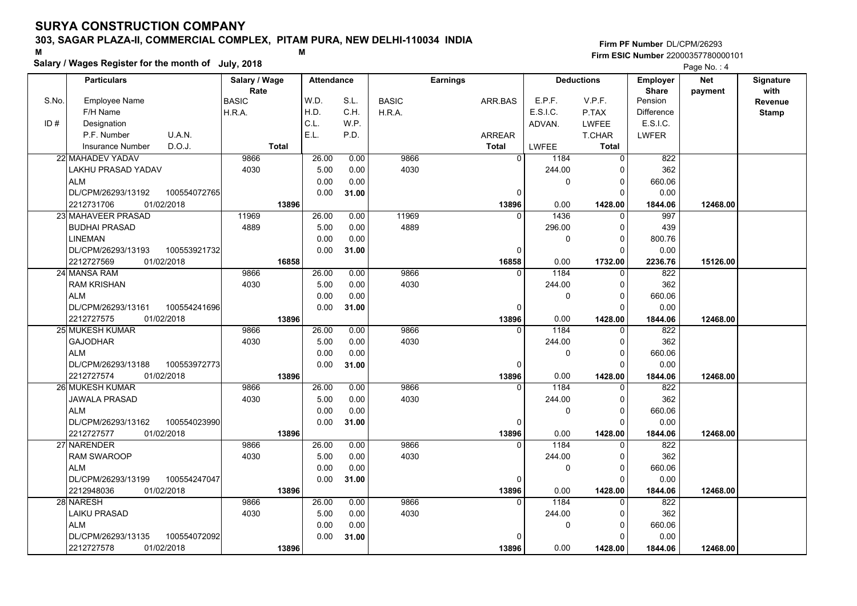## **303, SAGAR PLAZA-II, COMMERCIAL COMPLEX, PITAM PURA, NEW DELHI-110034 INDIA**

**Salary / Wages Register for the month of July, 2018 <sup>M</sup> <sup>M</sup>**

### **Firm PF Number**DL/CPM/26293**Firm ESIC Number** 22000357780000101

|       | <b>Particulars</b>                 | Salary / Wage        | <b>Attendance</b> |       |              | <b>Earnings</b> |              | <b>Deductions</b> | Employer                | Net      | Signature       |
|-------|------------------------------------|----------------------|-------------------|-------|--------------|-----------------|--------------|-------------------|-------------------------|----------|-----------------|
| S.No. | Employee Name                      | Rate<br><b>BASIC</b> | W.D.              | S.L.  | <b>BASIC</b> | ARR.BAS         | E.P.F.       | V.P.F.            | <b>Share</b><br>Pension | payment  | with<br>Revenue |
|       | F/H Name                           | H.R.A.               | H.D.              | C.H.  | H.R.A.       |                 | E.S.I.C.     | P.TAX             | <b>Difference</b>       |          | <b>Stamp</b>    |
| ID#   | Designation                        |                      | C.L.              | W.P.  |              |                 | ADVAN.       | <b>LWFEE</b>      | E.S.I.C.                |          |                 |
|       | U.A.N.<br>P.F. Number              |                      | E.L.              | P.D.  |              | <b>ARREAR</b>   |              | T.CHAR            | <b>LWFER</b>            |          |                 |
|       | D.O.J.<br><b>Insurance Number</b>  | <b>Total</b>         |                   |       |              | <b>Total</b>    | <b>LWFEE</b> | <b>Total</b>      |                         |          |                 |
|       | 22 MAHADEV YADAV                   | 9866                 | 26.00             | 0.00  | 9866         | $\overline{0}$  | 1184         | $\Omega$          | 822                     |          |                 |
|       | LAKHU PRASAD YADAV                 | 4030                 | 5.00              | 0.00  | 4030         |                 | 244.00       | 0                 | 362                     |          |                 |
|       | <b>ALM</b>                         |                      | 0.00              | 0.00  |              |                 | 0            | 0                 | 660.06                  |          |                 |
|       | DL/CPM/26293/13192<br>100554072765 |                      | 0.00              | 31.00 |              | $\Omega$        |              | $\Omega$          | 0.00                    |          |                 |
|       | 01/02/2018<br>2212731706           | 13896                |                   |       |              | 13896           | 0.00         | 1428.00           | 1844.06                 | 12468.00 |                 |
|       | 23 MAHAVEER PRASAD                 | 11969                | 26.00             | 0.00  | 11969        | $\Omega$        | 1436         | $\mathbf 0$       | 997                     |          |                 |
|       | <b>BUDHAI PRASAD</b>               | 4889                 | 5.00              | 0.00  | 4889         |                 | 296.00       | 0                 | 439                     |          |                 |
|       | <b>LINEMAN</b>                     |                      | 0.00              | 0.00  |              |                 | 0            | $\Omega$          | 800.76                  |          |                 |
|       | DL/CPM/26293/13193<br>100553921732 |                      | 0.00              | 31.00 |              | $\Omega$        |              | $\Omega$          | 0.00                    |          |                 |
|       | 2212727569<br>01/02/2018           | 16858                |                   |       |              | 16858           | 0.00         | 1732.00           | 2236.76                 | 15126.00 |                 |
|       | 24 MANSA RAM                       | 9866                 | 26.00             | 0.00  | 9866         | $\Omega$        | 1184         | $\mathbf 0$       | 822                     |          |                 |
|       | <b>RAM KRISHAN</b>                 | 4030                 | 5.00              | 0.00  | 4030         |                 | 244.00       | $\Omega$          | 362                     |          |                 |
|       | ALM                                |                      | 0.00              | 0.00  |              |                 | 0            | $\Omega$          | 660.06                  |          |                 |
|       | DL/CPM/26293/13161<br>100554241696 |                      | 0.00              | 31.00 |              | $\Omega$        |              | $\Omega$          | 0.00                    |          |                 |
|       | 2212727575<br>01/02/2018           | 13896                |                   |       |              | 13896           | 0.00         | 1428.00           | 1844.06                 | 12468.00 |                 |
|       | 25 MUKESH KUMAR                    | 9866                 | 26.00             | 0.00  | 9866         | $\Omega$        | 1184         | 0                 | 822                     |          |                 |
|       | <b>GAJODHAR</b>                    | 4030                 | 5.00              | 0.00  | 4030         |                 | 244.00       | $\mathbf 0$       | 362                     |          |                 |
|       | <b>ALM</b>                         |                      | 0.00              | 0.00  |              |                 | 0            | $\Omega$          | 660.06                  |          |                 |
|       | DL/CPM/26293/13188<br>100553972773 |                      | 0.00              | 31.00 |              | $\Omega$        |              | $\Omega$          | 0.00                    |          |                 |
|       | 2212727574<br>01/02/2018           | 13896                |                   |       |              | 13896           | 0.00         | 1428.00           | 1844.06                 | 12468.00 |                 |
|       | 26 MUKESH KUMAR                    | 9866                 | 26.00             | 0.00  | 9866         | $\Omega$        | 1184         | $\Omega$          | 822                     |          |                 |
|       | JAWALA PRASAD                      | 4030                 | 5.00              | 0.00  | 4030         |                 | 244.00       | $\Omega$          | 362                     |          |                 |
|       | <b>ALM</b>                         |                      | 0.00              | 0.00  |              |                 | 0            | $\Omega$          | 660.06                  |          |                 |
|       | DL/CPM/26293/13162<br>100554023990 |                      | 0.00              | 31.00 |              | 0               |              | $\Omega$          | 0.00                    |          |                 |
|       | 01/02/2018<br>2212727577           | 13896                |                   |       |              | 13896           | 0.00         | 1428.00           | 1844.06                 | 12468.00 |                 |
|       | 27 NARENDER                        | 9866                 | 26.00             | 0.00  | 9866         | $\Omega$        | 1184         | $\Omega$          | 822                     |          |                 |
|       | <b>RAM SWAROOP</b>                 | 4030                 | 5.00              | 0.00  | 4030         |                 | 244.00       | 0                 | 362                     |          |                 |
|       | <b>ALM</b>                         |                      | 0.00              | 0.00  |              |                 | 0            | $\Omega$          | 660.06                  |          |                 |
|       | DL/CPM/26293/13199<br>100554247047 |                      | 0.00              | 31.00 |              | 0               |              | $\Omega$          | 0.00                    |          |                 |
|       | 2212948036<br>01/02/2018           | 13896                |                   |       |              | 13896           | 0.00         | 1428.00           | 1844.06                 | 12468.00 |                 |
|       | 28 NARESH                          | 9866                 | 26.00             | 0.00  | 9866         | $\Omega$        | 1184         | $\Omega$          | 822                     |          |                 |
|       | <b>LAIKU PRASAD</b>                | 4030                 | 5.00              | 0.00  | 4030         |                 | 244.00       | 0                 | 362                     |          |                 |
|       | <b>ALM</b>                         |                      | 0.00              | 0.00  |              |                 | 0            | $\mathbf 0$       | 660.06                  |          |                 |
|       | DL/CPM/26293/13135<br>100554072092 |                      | 0.00              | 31.00 |              | $\Omega$        |              | $\Omega$          | 0.00                    |          |                 |
|       | 01/02/2018<br>2212727578           | 13896                |                   |       |              | 13896           | 0.00         | 1428.00           | 1844.06                 | 12468.00 |                 |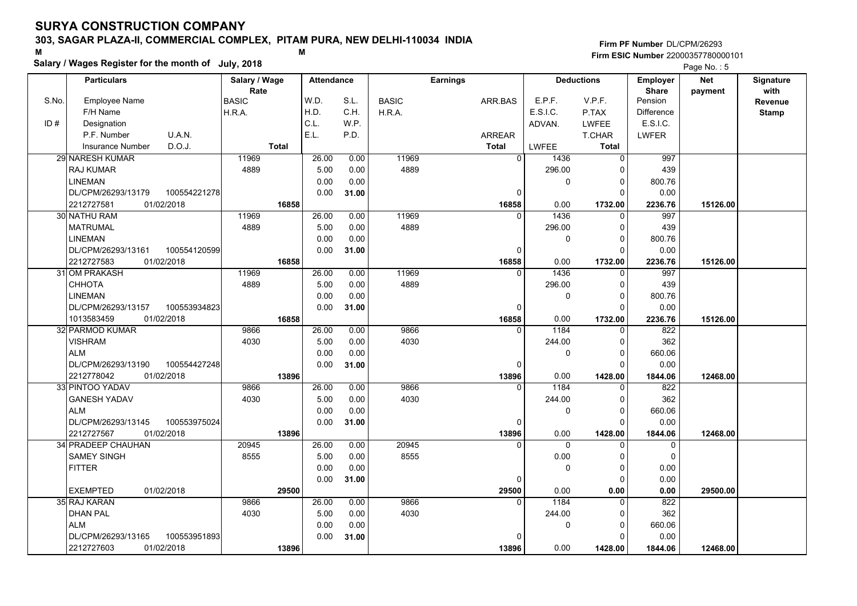### **303, SAGAR PLAZA-II, COMMERCIAL COMPLEX, PITAM PURA, NEW DELHI-110034 INDIA**

**Salary / Wages Register for the month of July, 2018 <sup>M</sup> <sup>M</sup>**

### **Firm PF Number**DL/CPM/26293**Firm ESIC Number** 22000357780000101

|       | <b>Particulars</b>                 | Salary / Wage | <b>Attendance</b> |       |              | <b>Earnings</b> |          | <b>Deductions</b> | Employer                | <b>Net</b> | Signature              |
|-------|------------------------------------|---------------|-------------------|-------|--------------|-----------------|----------|-------------------|-------------------------|------------|------------------------|
| S.No. | Employee Name                      | Rate<br>BASIC | W.D.              | S.L.  | <b>BASIC</b> | ARR.BAS         | E.P.F.   | V.P.F.            | <b>Share</b><br>Pension | payment    | with<br><b>Revenue</b> |
|       | F/H Name                           | H.R.A.        | H.D.              | C.H.  | H.R.A.       |                 | E.S.I.C. | P.TAX             | <b>Difference</b>       |            | <b>Stamp</b>           |
| ID#   | Designation                        |               | C.L.              | W.P.  |              |                 | ADVAN.   | <b>LWFEE</b>      | E.S.I.C.                |            |                        |
|       | U.A.N.<br>P.F. Number              |               | E.L.              | P.D.  |              | <b>ARREAR</b>   |          | T.CHAR            | <b>LWFER</b>            |            |                        |
|       | D.O.J.<br>Insurance Number         | <b>Total</b>  |                   |       |              | <b>Total</b>    | LWFEE    | <b>Total</b>      |                         |            |                        |
|       | 29 NARESH KUMAR                    | 11969         | 26.00             | 0.00  | 11969        | $\overline{0}$  | 1436     | 0                 | 997                     |            |                        |
|       | RAJ KUMAR                          | 4889          | 5.00              | 0.00  | 4889         |                 | 296.00   | 0                 | 439                     |            |                        |
|       | <b>LINEMAN</b>                     |               | 0.00              | 0.00  |              |                 | 0        | $\Omega$          | 800.76                  |            |                        |
|       | DL/CPM/26293/13179<br>100554221278 |               | 0.00              | 31.00 |              | $\Omega$        |          | $\Omega$          | 0.00                    |            |                        |
|       | 2212727581<br>01/02/2018           | 16858         |                   |       |              | 16858           | 0.00     | 1732.00           | 2236.76                 | 15126.00   |                        |
|       | 30 NATHU RAM                       | 11969         | 26.00             | 0.00  | 11969        | $\Omega$        | 1436     | $\mathbf 0$       | 997                     |            |                        |
|       | <b>MATRUMAL</b>                    | 4889          | 5.00              | 0.00  | 4889         |                 | 296.00   | 0                 | 439                     |            |                        |
|       | <b>LINEMAN</b>                     |               | 0.00              | 0.00  |              |                 | 0        | $\Omega$          | 800.76                  |            |                        |
|       | DL/CPM/26293/13161<br>100554120599 |               | 0.00              | 31.00 |              | $\Omega$        |          | $\Omega$          | 0.00                    |            |                        |
|       | 2212727583<br>01/02/2018           | 16858         |                   |       |              | 16858           | 0.00     | 1732.00           | 2236.76                 | 15126.00   |                        |
|       | 31 OM PRAKASH                      | 11969         | 26.00             | 0.00  | 11969        | $\Omega$        | 1436     | $\mathbf{0}$      | 997                     |            |                        |
|       | CHHOTA                             | 4889          | 5.00              | 0.00  | 4889         |                 | 296.00   | $\Omega$          | 439                     |            |                        |
|       | <b>LINEMAN</b>                     |               | 0.00              | 0.00  |              |                 | 0        | $\Omega$          | 800.76                  |            |                        |
|       | DL/CPM/26293/13157<br>100553934823 |               | 0.00              | 31.00 |              | 0               |          | $\Omega$          | 0.00                    |            |                        |
|       | 1013583459<br>01/02/2018           | 16858         |                   |       |              | 16858           | 0.00     | 1732.00           | 2236.76                 | 15126.00   |                        |
|       | 32 PARMOD KUMAR                    | 9866          | 26.00             | 0.00  | 9866         | $\Omega$        | 1184     | 0                 | 822                     |            |                        |
|       | <b>VISHRAM</b>                     | 4030          | 5.00              | 0.00  | 4030         |                 | 244.00   | $\Omega$          | 362                     |            |                        |
|       | <b>ALM</b>                         |               | 0.00              | 0.00  |              |                 | 0        | $\Omega$          | 660.06                  |            |                        |
|       | DL/CPM/26293/13190<br>100554427248 |               | 0.00              | 31.00 |              | O               |          | $\Omega$          | 0.00                    |            |                        |
|       | 2212778042<br>01/02/2018           | 13896         |                   |       |              | 13896           | 0.00     | 1428.00           | 1844.06                 | 12468.00   |                        |
|       | 33 PINTOO YADAV                    | 9866          | 26.00             | 0.00  | 9866         | $\Omega$        | 1184     | $\Omega$          | 822                     |            |                        |
|       | <b>GANESH YADAV</b>                | 4030          | 5.00              | 0.00  | 4030         |                 | 244.00   | $\Omega$          | 362                     |            |                        |
|       | <b>ALM</b>                         |               | 0.00              | 0.00  |              |                 | 0        | $\Omega$          | 660.06                  |            |                        |
|       | DL/CPM/26293/13145<br>100553975024 |               | 0.00              | 31.00 |              | 0               |          | $\Omega$          | 0.00                    |            |                        |
|       | 2212727567<br>01/02/2018           | 13896         |                   |       |              | 13896           | 0.00     | 1428.00           | 1844.06                 | 12468.00   |                        |
|       | 34 PRADEEP CHAUHAN                 | 20945         | 26.00             | 0.00  | 20945        | $\Omega$        | $\Omega$ | $\Omega$          | $\mathbf 0$             |            |                        |
|       | <b>SAMEY SINGH</b>                 | 8555          | 5.00              | 0.00  | 8555         |                 | 0.00     | $\Omega$          | $\mathbf 0$             |            |                        |
|       | <b>FITTER</b>                      |               | 0.00              | 0.00  |              |                 | 0        | $\Omega$          | 0.00                    |            |                        |
|       |                                    |               | 0.00              | 31.00 |              | 0               |          | $\Omega$          | 0.00                    |            |                        |
|       | <b>EXEMPTED</b><br>01/02/2018      | 29500         |                   |       |              | 29500           | 0.00     | 0.00              | 0.00                    | 29500.00   |                        |
|       | 35 RAJ KARAN                       | 9866          | 26.00             | 0.00  | 9866         | $\Omega$        | 1184     | $\Omega$          | 822                     |            |                        |
|       | <b>DHAN PAL</b>                    | 4030          | 5.00              | 0.00  | 4030         |                 | 244.00   | 0                 | 362                     |            |                        |
|       | <b>ALM</b>                         |               | 0.00              | 0.00  |              |                 | 0        | $\Omega$          | 660.06                  |            |                        |
|       | DL/CPM/26293/13165<br>100553951893 |               | 0.00              | 31.00 |              | U               |          | $\Omega$          | 0.00                    |            |                        |
|       | 2212727603<br>01/02/2018           | 13896         |                   |       |              | 13896           | 0.00     | 1428.00           | 1844.06                 | 12468.00   |                        |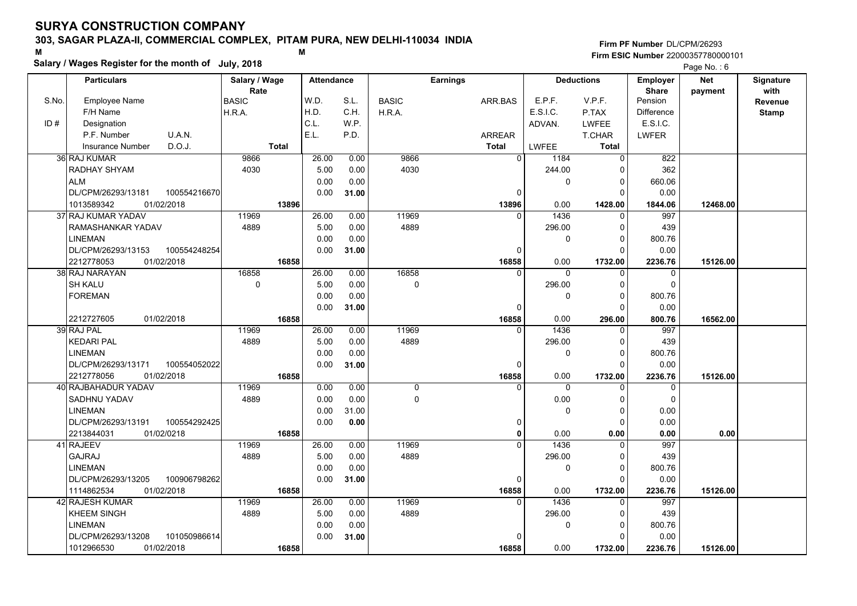## **303, SAGAR PLAZA-II, COMMERCIAL COMPLEX, PITAM PURA, NEW DELHI-110034 INDIA**

**Salary / Wages Register for the month of July, 2018 <sup>M</sup> <sup>M</sup>**

### **Firm PF Number**DL/CPM/26293**Firm ESIC Number** 22000357780000101

|       | <b>Particulars</b>                 | Salary / Wage        | <b>Attendance</b> |       |              | <b>Earnings</b> |          | <b>Deductions</b> | <b>Employer</b>         | <b>Net</b> | Signature       |
|-------|------------------------------------|----------------------|-------------------|-------|--------------|-----------------|----------|-------------------|-------------------------|------------|-----------------|
| S.No. | <b>Employee Name</b>               | Rate<br><b>BASIC</b> | W.D.              | S.L.  | <b>BASIC</b> | ARR.BAS         | E.P.F.   | V.P.F.            | <b>Share</b><br>Pension | payment    | with<br>Revenue |
|       | F/H Name                           | H.R.A.               | H.D.              | C.H.  | H.R.A.       |                 | E.S.I.C. | P.TAX             | <b>Difference</b>       |            | <b>Stamp</b>    |
| ID#   | Designation                        |                      | C.L.              | WP.   |              |                 | ADVAN.   | LWFEE             | E.S.I.C.                |            |                 |
|       | U.A.N.<br>P.F. Number              |                      | E.L.              | P.D.  |              | <b>ARREAR</b>   |          | T.CHAR            | LWFER                   |            |                 |
|       | D.O.J.<br><b>Insurance Number</b>  | <b>Total</b>         |                   |       |              | <b>Total</b>    | LWFEE    | Total             |                         |            |                 |
|       | 36 RAJ KUMAR                       | 9866                 | 26.00             | 0.00  | 9866         | $\overline{0}$  | 1184     | $\Omega$          | 822                     |            |                 |
|       | RADHAY SHYAM                       | 4030                 | 5.00              | 0.00  | 4030         |                 | 244.00   | 0                 | 362                     |            |                 |
|       | <b>ALM</b>                         |                      | 0.00              | 0.00  |              |                 | 0        | $\mathbf 0$       | 660.06                  |            |                 |
|       | DL/CPM/26293/13181<br>100554216670 |                      | 0.00              | 31.00 |              | 0               |          | O                 | 0.00                    |            |                 |
|       | 1013589342<br>01/02/2018           | 13896                |                   |       |              | 13896           | 0.00     | 1428.00           | 1844.06                 | 12468.00   |                 |
|       | 37 RAJ KUMAR YADAV                 | 11969                | 26.00             | 0.00  | 11969        | $\Omega$        | 1436     | $\Omega$          | 997                     |            |                 |
|       | RAMASHANKAR YADAV                  | 4889                 | 5.00              | 0.00  | 4889         |                 | 296.00   | $\Omega$          | 439                     |            |                 |
|       | <b>LINEMAN</b>                     |                      | 0.00              | 0.00  |              |                 | 0        | $\Omega$          | 800.76                  |            |                 |
|       | DL/CPM/26293/13153<br>100554248254 |                      | 0.00              |       |              | $\mathbf 0$     |          | $\Omega$          | 0.00                    |            |                 |
|       | 2212778053<br>01/02/2018           | 16858                |                   | 31.00 |              | 16858           | 0.00     | 1732.00           | 2236.76                 | 15126.00   |                 |
|       | 38 RAJ NARAYAN                     | 16858                | 26.00             | 0.00  | 16858        | $\Omega$        | $\Omega$ | $\Omega$          | 0                       |            |                 |
|       | <b>SH KALU</b>                     | $\pmb{0}$            | 5.00              | 0.00  | $\mathbf 0$  |                 | 296.00   | $\Omega$          | $\Omega$                |            |                 |
|       | <b>FOREMAN</b>                     |                      | 0.00              | 0.00  |              |                 | $\Omega$ | $\Omega$          | 800.76                  |            |                 |
|       |                                    |                      | 0.00              | 31.00 |              | $\Omega$        |          | $\Omega$          | 0.00                    |            |                 |
|       | 01/02/2018<br>2212727605           | 16858                |                   |       |              | 16858           | 0.00     | 296.00            | 800.76                  | 16562.00   |                 |
|       | 39 RAJ PAL                         | 11969                | 26.00             | 0.00  | 11969        | $\Omega$        | 1436     | 0                 | 997                     |            |                 |
|       | <b>KEDARI PAL</b>                  | 4889                 | 5.00              | 0.00  | 4889         |                 | 296.00   | $\Omega$          | 439                     |            |                 |
|       | <b>LINEMAN</b>                     |                      | 0.00              | 0.00  |              |                 | 0        | $\Omega$          | 800.76                  |            |                 |
|       | DL/CPM/26293/13171<br>100554052022 |                      | 0.00              | 31.00 |              | $\Omega$        |          | $\Omega$          | 0.00                    |            |                 |
|       | 2212778056<br>01/02/2018           | 16858                |                   |       |              | 16858           | 0.00     | 1732.00           | 2236.76                 | 15126.00   |                 |
|       | 40 RAJBAHADUR YADAV                | 11969                | 0.00              | 0.00  | 0            | $\Omega$        | $\Omega$ |                   | 0                       |            |                 |
|       | <b>SADHNU YADAV</b>                | 4889                 | 0.00              | 0.00  | $\mathsf 0$  |                 | 0.00     | $\Omega$          | $\pmb{0}$               |            |                 |
|       | <b>LINEMAN</b>                     |                      | 0.00              | 31.00 |              |                 | 0        | $\Omega$          | 0.00                    |            |                 |
|       | DL/CPM/26293/13191<br>100554292425 |                      | 0.00              | 0.00  |              | 0               |          | $\Omega$          | 0.00                    |            |                 |
|       | 2213844031<br>01/02/0218           | 16858                |                   |       |              | $\Omega$        | 0.00     | 0.00              | 0.00                    | 0.00       |                 |
|       | 41 RAJEEV                          | 11969                | 26.00             | 0.00  | 11969        | $\Omega$        | 1436     | $\Omega$          | 997                     |            |                 |
|       | <b>GAJRAJ</b>                      | 4889                 | 5.00              | 0.00  | 4889         |                 | 296.00   | $\Omega$          | 439                     |            |                 |
|       | <b>LINEMAN</b>                     |                      | 0.00              | 0.00  |              |                 | 0        | 0                 | 800.76                  |            |                 |
|       | DL/CPM/26293/13205<br>100906798262 |                      | 0.00              | 31.00 |              | $\mathbf 0$     |          | $\Omega$          | 0.00                    |            |                 |
|       | 1114862534<br>01/02/2018           | 16858                |                   |       |              | 16858           | 0.00     | 1732.00           | 2236.76                 | 15126.00   |                 |
|       | 42 RAJESH KUMAR                    | 11969                | 26.00             | 0.00  | 11969        | $\Omega$        | 1436     | $\Omega$          | 997                     |            |                 |
|       | <b>KHEEM SINGH</b>                 | 4889                 | 5.00              | 0.00  | 4889         |                 | 296.00   | $\Omega$          | 439                     |            |                 |
|       | <b>LINEMAN</b>                     |                      | 0.00              | 0.00  |              |                 | 0        | $\Omega$          | 800.76                  |            |                 |
|       | DL/CPM/26293/13208<br>101050986614 |                      | 0.00              |       |              | $\Omega$        |          | $\Omega$          | 0.00                    |            |                 |
|       | 1012966530<br>01/02/2018           |                      |                   | 31.00 |              |                 | 0.00     |                   |                         |            |                 |
|       |                                    | 16858                |                   |       |              | 16858           |          | 1732.00           | 2236.76                 | 15126.00   |                 |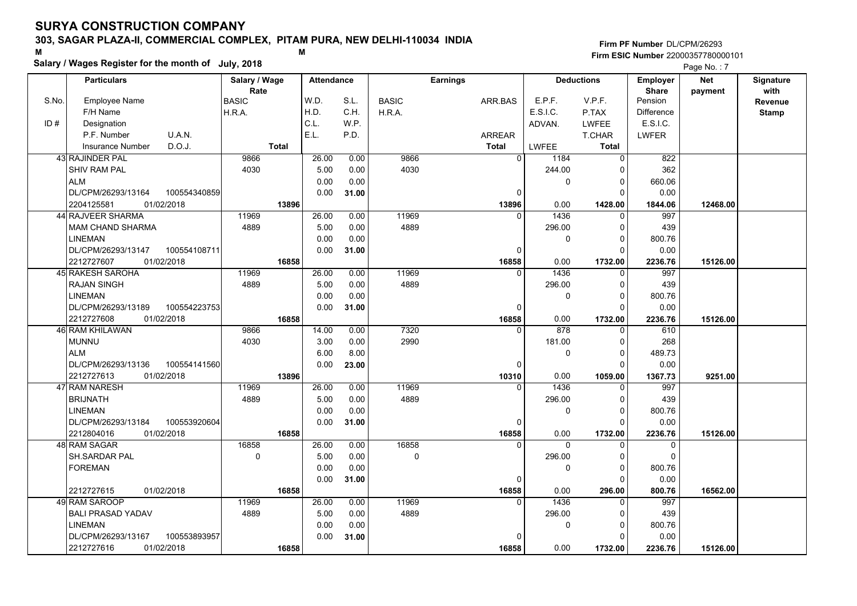## **303, SAGAR PLAZA-II, COMMERCIAL COMPLEX, PITAM PURA, NEW DELHI-110034 INDIA**

**Salary / Wages Register for the month of July, 2018 <sup>M</sup> <sup>M</sup>**

**Firm PF Number**DL/CPM/26293**Firm ESIC Number** 22000357780000101

|       | <b>Particulars</b>                 | Salary / Wage        | <b>Attendance</b> |       |              | <b>Earnings</b> |                              | <b>Deductions</b> | <b>Employer</b>         | <b>Net</b> | Signature       |
|-------|------------------------------------|----------------------|-------------------|-------|--------------|-----------------|------------------------------|-------------------|-------------------------|------------|-----------------|
| S.No. | Employee Name                      | Rate<br><b>BASIC</b> | W.D.              | S.L.  | <b>BASIC</b> | ARR.BAS         | E.P.F.                       | V.P.F.            | <b>Share</b><br>Pension | payment    | with<br>Revenue |
|       | F/H Name                           | H.R.A.               | H.D.              | C.H.  | H.R.A.       |                 | E.S.I.C.                     | P.TAX             | <b>Difference</b>       |            | <b>Stamp</b>    |
| ID#   | Designation                        |                      | C.L.              | W.P.  |              |                 | ADVAN.                       | <b>LWFEE</b>      | E.S.I.C.                |            |                 |
|       | U.A.N.<br>P.F. Number              |                      | E.L.              | P.D.  |              | <b>ARREAR</b>   |                              | T.CHAR            | <b>LWFER</b>            |            |                 |
|       | D.O.J.<br><b>Insurance Number</b>  | <b>Total</b>         |                   |       |              | <b>Total</b>    | <b>LWFEE</b>                 | Total             |                         |            |                 |
|       | 43 RAJINDER PAL                    | 9866                 | 26.00             | 0.00  | 9866         |                 | $\overline{0}$<br>1184       | $\mathbf 0$       | 822                     |            |                 |
|       | SHIV RAM PAL                       | 4030                 | 5.00              | 0.00  | 4030         |                 | 244.00                       | $\mathbf 0$       | 362                     |            |                 |
|       | <b>ALM</b>                         |                      | 0.00              | 0.00  |              |                 | 0                            | $\mathbf 0$       | 660.06                  |            |                 |
|       | DL/CPM/26293/13164<br>100554340859 |                      | 0.00              | 31.00 |              |                 | 0                            | $\Omega$          | 0.00                    |            |                 |
|       | 2204125581<br>01/02/2018           | 13896                |                   |       |              | 13896           | 0.00                         | 1428.00           | 1844.06                 | 12468.00   |                 |
|       | 44 RAJVEER SHARMA                  | 11969                | 26.00             | 0.00  | 11969        |                 | 1436<br>$\Omega$             | $\Omega$          | 997                     |            |                 |
|       | <b>MAM CHAND SHARMA</b>            | 4889                 | 5.00              | 0.00  | 4889         |                 | 296.00                       | $\mathbf 0$       | 439                     |            |                 |
|       | <b>LINEMAN</b>                     |                      | 0.00              | 0.00  |              |                 | 0                            | $\mathbf 0$       | 800.76                  |            |                 |
|       | DL/CPM/26293/13147<br>100554108711 |                      | 0.00              | 31.00 |              |                 | $\Omega$                     | $\Omega$          | 0.00                    |            |                 |
|       | 01/02/2018<br>2212727607           | 16858                |                   |       |              | 16858           | 0.00                         | 1732.00           | 2236.76                 | 15126.00   |                 |
|       | 45 RAKESH SAROHA                   | 11969                | 26.00             | 0.00  | 11969        |                 | 1436<br>$\Omega$             | 0                 | 997                     |            |                 |
|       | <b>RAJAN SINGH</b>                 | 4889                 | 5.00              | 0.00  | 4889         |                 | 296.00                       | $\mathbf 0$       | 439                     |            |                 |
|       | <b>LINEMAN</b>                     |                      | 0.00              | 0.00  |              |                 | 0                            | $\overline{0}$    | 800.76                  |            |                 |
|       | DL/CPM/26293/13189<br>100554223753 |                      | 0.00              | 31.00 |              |                 | 0                            | $\Omega$          | 0.00                    |            |                 |
|       | 2212727608<br>01/02/2018           | 16858                |                   |       |              | 16858           | 0.00                         | 1732.00           | 2236.76                 | 15126.00   |                 |
|       | 46 RAM KHILAWAN                    | 9866                 | 14.00             | 0.00  | 7320         |                 | $\overline{878}$<br>$\Omega$ | $\Omega$          | 610                     |            |                 |
|       | <b>MUNNU</b>                       | 4030                 | 3.00              | 0.00  | 2990         |                 | 181.00                       | $\mathbf 0$       | 268                     |            |                 |
|       | <b>ALM</b>                         |                      | 6.00              | 8.00  |              |                 | 0                            | $\mathbf 0$       | 489.73                  |            |                 |
|       | DL/CPM/26293/13136<br>100554141560 |                      | 0.00              | 23.00 |              |                 | 0                            | $\mathbf 0$       | 0.00                    |            |                 |
|       | 2212727613<br>01/02/2018           | 13896                |                   |       |              | 10310           | 0.00                         | 1059.00           | 1367.73                 | 9251.00    |                 |
|       | 47 RAM NARESH                      | 11969                | 26.00             | 0.00  | 11969        |                 | 1436<br>$\Omega$             | $\Omega$          | 997                     |            |                 |
|       | <b>BRIJNATH</b>                    | 4889                 | 5.00              | 0.00  | 4889         |                 | 296.00                       | $\Omega$          | 439                     |            |                 |
|       | <b>LINEMAN</b>                     |                      | 0.00              | 0.00  |              |                 | 0                            | $\mathbf 0$       | 800.76                  |            |                 |
|       | DL/CPM/26293/13184<br>100553920604 |                      | 0.00              | 31.00 |              |                 | 0                            | $\mathbf 0$       | 0.00                    |            |                 |
|       | 01/02/2018<br>2212804016           | 16858                |                   |       |              | 16858           | 0.00                         | 1732.00           | 2236.76                 | 15126.00   |                 |
|       | 48 RAM SAGAR                       | 16858                | 26.00             | 0.00  | 16858        |                 | $\Omega$<br>$\Omega$         | $\Omega$          | 0                       |            |                 |
|       | SH.SARDAR PAL                      | $\mathbf 0$          | 5.00              | 0.00  | $\mathbf 0$  |                 | 296.00                       | $\mathbf 0$       | $\mathbf 0$             |            |                 |
|       | <b>FOREMAN</b>                     |                      | 0.00              | 0.00  |              |                 | 0                            | $\mathbf 0$       | 800.76                  |            |                 |
|       |                                    |                      | 0.00              | 31.00 |              |                 | $\Omega$                     | $\Omega$          | 0.00                    |            |                 |
|       | 2212727615<br>01/02/2018           | 16858                |                   |       |              | 16858           | 0.00                         | 296.00            | 800.76                  | 16562.00   |                 |
|       | 49 RAM SAROOP                      | 11969                | 26.00             | 0.00  | 11969        |                 | 1436<br>$\Omega$             | $\mathbf 0$       | 997                     |            |                 |
|       | <b>BALI PRASAD YADAV</b>           | 4889                 | 5.00              | 0.00  | 4889         |                 | 296.00                       | 0                 | 439                     |            |                 |
|       | <b>LINEMAN</b>                     |                      | 0.00              | 0.00  |              |                 | 0                            | $\mathbf 0$       | 800.76                  |            |                 |
|       | DL/CPM/26293/13167<br>100553893957 |                      | 0.00              | 31.00 |              |                 | O                            | $\mathbf 0$       | 0.00                    |            |                 |
|       | 2212727616<br>01/02/2018           | 16858                |                   |       |              | 16858           | 0.00                         | 1732.00           | 2236.76                 | 15126.00   |                 |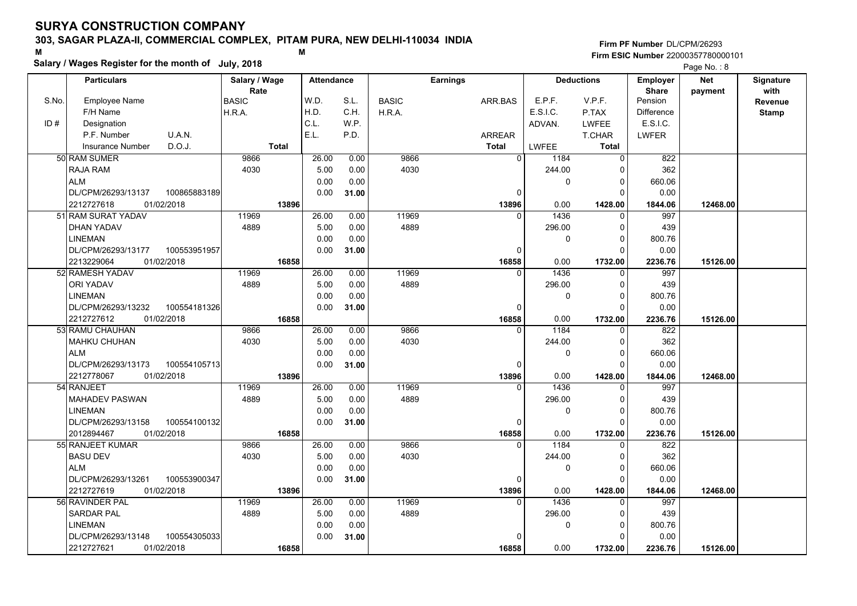## **303, SAGAR PLAZA-II, COMMERCIAL COMPLEX, PITAM PURA, NEW DELHI-110034 INDIA**

**Salary / Wages Register for the month of July, 2018 <sup>M</sup> <sup>M</sup>**

### **Firm PF Number**DL/CPM/26293**Firm ESIC Number** 22000357780000101

|       | <b>Particulars</b>                 | Salary / Wage        | <b>Attendance</b> |       |              | <b>Earnings</b> |          | <b>Deductions</b> | Employer                | <b>Net</b> | Signature       |
|-------|------------------------------------|----------------------|-------------------|-------|--------------|-----------------|----------|-------------------|-------------------------|------------|-----------------|
| S.No. | <b>Employee Name</b>               | Rate<br><b>BASIC</b> | W.D.              | S.L.  | <b>BASIC</b> | ARR.BAS         | E.P.F.   | V.P.F.            | <b>Share</b><br>Pension | payment    | with<br>Revenue |
|       | F/H Name                           | H.R.A.               | H.D.              | C.H.  | H.R.A.       |                 | E.S.I.C. | P.TAX             | <b>Difference</b>       |            | <b>Stamp</b>    |
| ID#   | Designation                        |                      | C.L.              | W.P.  |              |                 | ADVAN.   | <b>LWFEE</b>      | E.S.I.C.                |            |                 |
|       | U.A.N.<br>P.F. Number              |                      | E.L.              | P.D.  |              | <b>ARREAR</b>   |          | T.CHAR            | <b>LWFER</b>            |            |                 |
|       | D.O.J.<br><b>Insurance Number</b>  | <b>Total</b>         |                   |       |              | <b>Total</b>    | LWFEE    | <b>Total</b>      |                         |            |                 |
|       | 50 RAM SUMER                       | 9866                 | 26.00             | 0.00  | 9866         | $\Omega$        | 1184     | $\Omega$          | 822                     |            |                 |
|       | RAJA RAM                           | 4030                 | 5.00              | 0.00  | 4030         |                 | 244.00   | 0                 | 362                     |            |                 |
|       | <b>ALM</b>                         |                      | 0.00              | 0.00  |              |                 | 0        | $\Omega$          | 660.06                  |            |                 |
|       | DL/CPM/26293/13137<br>100865883189 |                      | 0.00              | 31.00 |              | $\mathbf{0}$    |          | $\Omega$          | 0.00                    |            |                 |
|       | 2212727618<br>01/02/2018           | 13896                |                   |       |              | 13896           | 0.00     | 1428.00           | 1844.06                 | 12468.00   |                 |
|       | 51 RAM SURAT YADAV                 | 11969                | 26.00             | 0.00  | 11969        | $\Omega$        | 1436     | $\Omega$          | 997                     |            |                 |
|       | DHAN YADAV                         | 4889                 | 5.00              | 0.00  | 4889         |                 | 296.00   | $\Omega$          | 439                     |            |                 |
|       | <b>LINEMAN</b>                     |                      | 0.00              | 0.00  |              |                 | 0        | 0                 | 800.76                  |            |                 |
|       | DL/CPM/26293/13177<br>100553951957 |                      | 0.00              | 31.00 |              | $\Omega$        |          | $\Omega$          | 0.00                    |            |                 |
|       | 2213229064<br>01/02/2018           | 16858                |                   |       |              | 16858           | 0.00     | 1732.00           | 2236.76                 | 15126.00   |                 |
|       | 52 RAMESH YADAV                    | 11969                | 26.00             | 0.00  | 11969        | $\Omega$        | 1436     | $\Omega$          | 997                     |            |                 |
|       | <b>ORI YADAV</b>                   | 4889                 | 5.00              | 0.00  | 4889         |                 | 296.00   | $\Omega$          | 439                     |            |                 |
|       | <b>LINEMAN</b>                     |                      | 0.00              | 0.00  |              |                 | 0        | $\Omega$          | 800.76                  |            |                 |
|       | DL/CPM/26293/13232<br>100554181326 |                      | 0.00              | 31.00 |              | $\Omega$        |          | $\Omega$          | 0.00                    |            |                 |
|       | 2212727612<br>01/02/2018           | 16858                |                   |       |              | 16858           | 0.00     | 1732.00           | 2236.76                 | 15126.00   |                 |
|       | 53 RAMU CHAUHAN                    | 9866                 | 26.00             | 0.00  | 9866         | $\Omega$        | 1184     | $\Omega$          | 822                     |            |                 |
|       | MAHKU CHUHAN                       | 4030                 | 5.00              | 0.00  | 4030         |                 | 244.00   | $\Omega$          | 362                     |            |                 |
|       | <b>ALM</b>                         |                      | 0.00              | 0.00  |              |                 | 0        | $\Omega$          | 660.06                  |            |                 |
|       | 100554105713<br>DL/CPM/26293/13173 |                      | 0.00              | 31.00 |              | $\Omega$        |          | O                 | 0.00                    |            |                 |
|       | 2212778067<br>01/02/2018           | 13896                |                   |       |              | 13896           | 0.00     | 1428.00           | 1844.06                 | 12468.00   |                 |
|       | 54 RANJEET                         | 11969                | 26.00             | 0.00  | 11969        | $\Omega$        | 1436     |                   | 997                     |            |                 |
|       | <b>MAHADEV PASWAN</b>              | 4889                 | 5.00              | 0.00  | 4889         |                 | 296.00   | $\Omega$          | 439                     |            |                 |
|       | <b>LINEMAN</b>                     |                      | 0.00              | 0.00  |              |                 | 0        | 0                 | 800.76                  |            |                 |
|       | DL/CPM/26293/13158<br>100554100132 |                      | 0.00              | 31.00 |              | 0               |          | $\Omega$          | 0.00                    |            |                 |
|       | 01/02/2018<br>2012894467           | 16858                |                   |       |              | 16858           | 0.00     | 1732.00           | 2236.76                 | 15126.00   |                 |
|       | 55 RANJEET KUMAR                   | 9866                 | 26.00             | 0.00  | 9866         | $\Omega$        | 1184     | $\Omega$          | 822                     |            |                 |
|       | <b>BASU DEV</b>                    | 4030                 | 5.00              | 0.00  | 4030         |                 | 244.00   | $\Omega$          | 362                     |            |                 |
|       | <b>ALM</b>                         |                      | 0.00              | 0.00  |              |                 | 0        | $\mathbf{0}$      | 660.06                  |            |                 |
|       | 100553900347<br>DL/CPM/26293/13261 |                      | 0.00              | 31.00 |              | 0               |          | $\Omega$          | 0.00                    |            |                 |
|       | 2212727619<br>01/02/2018           | 13896                |                   |       |              | 13896           | 0.00     | 1428.00           | 1844.06                 | 12468.00   |                 |
|       | 56 RAVINDER PAL                    | 11969                | 26.00             | 0.00  | 11969        | $\Omega$        | 1436     | $\Omega$          | 997                     |            |                 |
|       | <b>SARDAR PAL</b>                  | 4889                 | 5.00              | 0.00  | 4889         |                 | 296.00   | $\Omega$          | 439                     |            |                 |
|       | <b>LINEMAN</b>                     |                      | 0.00              | 0.00  |              |                 | 0        | $\Omega$          | 800.76                  |            |                 |
|       | DL/CPM/26293/13148<br>100554305033 |                      | 0.00              | 31.00 |              | $\Omega$        |          | $\Omega$          | 0.00                    |            |                 |
|       | 2212727621<br>01/02/2018           | 16858                |                   |       |              | 16858           | 0.00     | 1732.00           | 2236.76                 | 15126.00   |                 |
|       |                                    |                      |                   |       |              |                 |          |                   |                         |            |                 |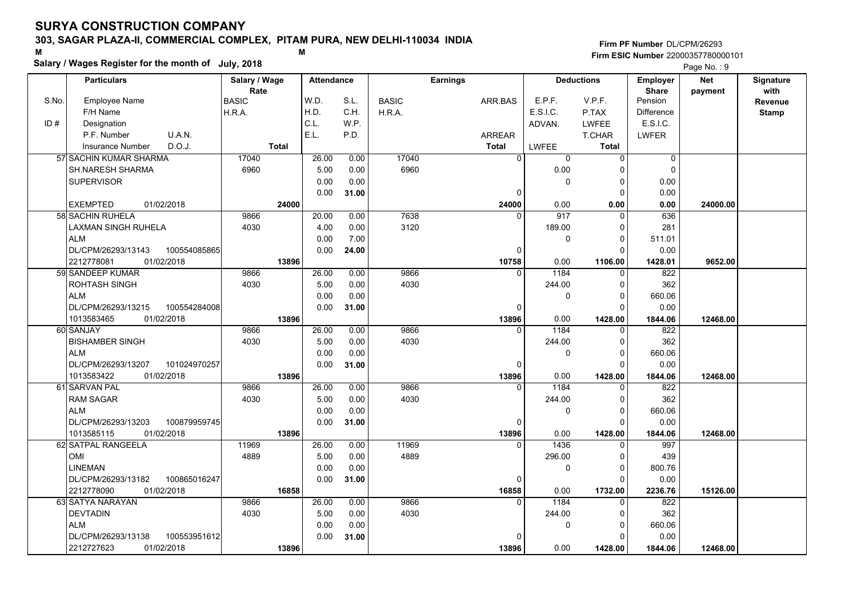## **303, SAGAR PLAZA-II, COMMERCIAL COMPLEX, PITAM PURA, NEW DELHI-110034 INDIA**

**Salary / Wages Register for the month of July, 2018 <sup>M</sup> <sup>M</sup>**

### **Firm PF Number**DL/CPM/26293**Firm ESIC Number** 22000357780000101

|       | <b>Particulars</b>                 | Salary / Wage        | <b>Attendance</b> |       |              | <b>Earnings</b> |          | <b>Deductions</b> | Employer          | <b>Net</b> | Signature       |
|-------|------------------------------------|----------------------|-------------------|-------|--------------|-----------------|----------|-------------------|-------------------|------------|-----------------|
| S.No. | <b>Employee Name</b>               | Rate<br><b>BASIC</b> | W.D.              | S.L.  | <b>BASIC</b> | ARR.BAS         | E.P.F.   | V.P.F.            | Share<br>Pension  | payment    | with<br>Revenue |
|       | F/H Name                           | H.R.A.               | H.D.              | C.H.  | H.R.A.       |                 | E.S.I.C. | P.TAX             | <b>Difference</b> |            | Stamp           |
| ID#   | Designation                        |                      | C.L.              | W.P.  |              |                 | ADVAN.   | LWFEE             | E.S.I.C.          |            |                 |
|       | U.A.N.<br>P.F. Number              |                      | E.L.              | P.D.  |              | <b>ARREAR</b>   |          | T.CHAR            | LWFER             |            |                 |
|       | D.O.J.<br>Insurance Number         | <b>Total</b>         |                   |       |              | <b>Total</b>    | LWFEE    | <b>Total</b>      |                   |            |                 |
|       | 57 SACHIN KUMAR SHARMA             | 17040                | 26.00             | 0.00  | 17040        | $\Omega$        | 0        | $\Omega$          | 0                 |            |                 |
|       | SH.NARESH SHARMA                   | 6960                 | 5.00              | 0.00  | 6960         |                 | 0.00     | $\Omega$          | $\mathbf 0$       |            |                 |
|       | <b>SUPERVISOR</b>                  |                      | 0.00              | 0.00  |              |                 | 0        | 0                 | 0.00              |            |                 |
|       |                                    |                      | 0.00              | 31.00 |              | 0               |          | $\Omega$          | 0.00              |            |                 |
|       | <b>EXEMPTED</b><br>01/02/2018      | 24000                |                   |       |              | 24000           | 0.00     | 0.00              | 0.00              | 24000.00   |                 |
|       | 58 SACHIN RUHELA                   | 9866                 | 20.00             | 0.00  | 7638         | $\Omega$        | 917      | $\Omega$          | 636               |            |                 |
|       | LAXMAN SINGH RUHELA                | 4030                 | 4.00              | 0.00  | 3120         |                 | 189.00   | $\mathbf 0$       | 281               |            |                 |
|       | <b>ALM</b>                         |                      | 0.00              | 7.00  |              |                 | 0        | $\Omega$          | 511.01            |            |                 |
|       | DL/CPM/26293/13143<br>100554085865 |                      | 0.00              | 24.00 |              | 0               |          | $\Omega$          | 0.00              |            |                 |
|       | 2212778081<br>01/02/2018           | 13896                |                   |       |              | 10758           | 0.00     | 1106.00           | 1428.01           | 9652.00    |                 |
|       | 59 SANDEEP KUMAR                   | 9866                 | 26.00             | 0.00  | 9866         | $\Omega$        | 1184     | $\Omega$          | 822               |            |                 |
|       | <b>ROHTASH SINGH</b>               | 4030                 | 5.00              | 0.00  | 4030         |                 | 244.00   | $\Omega$          | 362               |            |                 |
|       | <b>ALM</b>                         |                      | 0.00              | 0.00  |              |                 | 0        | $\mathbf 0$       | 660.06            |            |                 |
|       | DL/CPM/26293/13215<br>100554284008 |                      | 0.00              | 31.00 |              | $\mathbf{0}$    |          | $\Omega$          | 0.00              |            |                 |
|       | 1013583465<br>01/02/2018           | 13896                |                   |       |              | 13896           | 0.00     | 1428.00           | 1844.06           | 12468.00   |                 |
|       | 60 SANJAY                          | 9866                 | 26.00             | 0.00  | 9866         | $\Omega$        | 1184     | $\Omega$          | 822               |            |                 |
|       | <b>BISHAMBER SINGH</b>             | 4030                 | 5.00              | 0.00  | 4030         |                 | 244.00   | $\Omega$          | 362               |            |                 |
|       | <b>ALM</b>                         |                      | 0.00              | 0.00  |              |                 | 0        | $\Omega$          | 660.06            |            |                 |
|       | 101024970257<br>DL/CPM/26293/13207 |                      | 0.00              | 31.00 |              | 0               |          | $\Omega$          | 0.00              |            |                 |
|       | 1013583422<br>01/02/2018           | 13896                |                   |       |              | 13896           | 0.00     | 1428.00           | 1844.06           | 12468.00   |                 |
|       | 61 SARVAN PAL                      | 9866                 | 26.00             | 0.00  | 9866         | $\Omega$        | 1184     | $\Omega$          | 822               |            |                 |
|       | <b>RAM SAGAR</b>                   | 4030                 | 5.00              | 0.00  | 4030         |                 | 244.00   | $\Omega$          | 362               |            |                 |
|       | <b>ALM</b>                         |                      | 0.00              | 0.00  |              |                 | 0        | $\mathbf 0$       | 660.06            |            |                 |
|       | 100879959745<br>DL/CPM/26293/13203 |                      | 0.00              | 31.00 |              | 0               |          | $\Omega$          | 0.00              |            |                 |
|       | 01/02/2018<br>1013585115           | 13896                |                   |       |              | 13896           | 0.00     | 1428.00           | 1844.06           | 12468.00   |                 |
|       | 62 SATPAL RANGEELA                 | 11969                | 26.00             | 0.00  | 11969        | $\Omega$        | 1436     | $\Omega$          | 997               |            |                 |
|       | OMI                                | 4889                 | 5.00              | 0.00  | 4889         |                 | 296.00   | 0                 | 439               |            |                 |
|       | <b>LINEMAN</b>                     |                      | 0.00              | 0.00  |              |                 | 0        | 0                 | 800.76            |            |                 |
|       | DL/CPM/26293/13182<br>100865016247 |                      | 0.00              | 31.00 |              | 0               |          | $\Omega$          | 0.00              |            |                 |
|       | 2212778090<br>01/02/2018           | 16858                |                   |       |              | 16858           | 0.00     | 1732.00           | 2236.76           | 15126.00   |                 |
|       | 63 SATYA NARAYAN                   | 9866                 | 26.00             | 0.00  | 9866         | $\Omega$        | 1184     | $\Omega$          | 822               |            |                 |
|       | <b>DEVTADIN</b>                    | 4030                 | 5.00              | 0.00  | 4030         |                 | 244.00   | 0                 | 362               |            |                 |
|       | <b>ALM</b>                         |                      | 0.00              | 0.00  |              |                 | 0        | $\Omega$          | 660.06            |            |                 |
|       | DL/CPM/26293/13138<br>100553951612 |                      | 0.00              | 31.00 |              | $\Omega$        |          | $\Omega$          | 0.00              |            |                 |
|       | 2212727623<br>01/02/2018           | 13896                |                   |       |              | 13896           | 0.00     | 1428.00           | 1844.06           | 12468.00   |                 |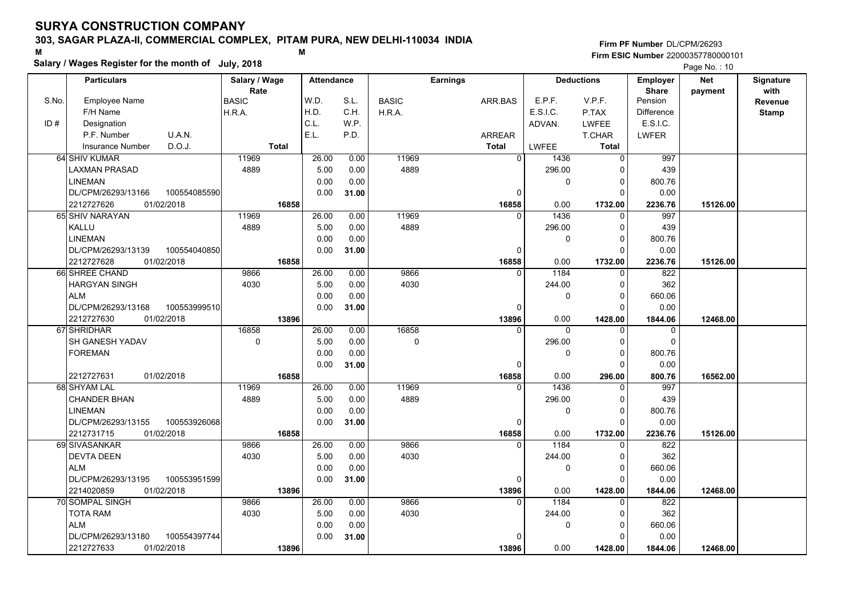## **303, SAGAR PLAZA-II, COMMERCIAL COMPLEX, PITAM PURA, NEW DELHI-110034 INDIA**

**Salary / Wages Register for the month of July, 2018 <sup>M</sup> <sup>M</sup>**

### **Firm PF Number**DL/CPM/26293**Firm ESIC Number** 22000357780000101

|       | <b>Particulars</b>                 | Salary / Wage          | <b>Attendance</b> |       |              | <b>Earnings</b> |                                | <b>Deductions</b> | <b>Employer</b>         | Net      | Signature    |
|-------|------------------------------------|------------------------|-------------------|-------|--------------|-----------------|--------------------------------|-------------------|-------------------------|----------|--------------|
| S.No. | Employee Name                      | Rate                   | W.D.              | S.L.  | <b>BASIC</b> |                 | E.P.F.                         | V.P.F.            | <b>Share</b><br>Pension | payment  | with         |
|       | F/H Name                           | <b>BASIC</b><br>H.R.A. | H.D.              | C.H.  | H.R.A.       | ARR.BAS         | E.S.I.C.                       | P.TAX             | <b>Difference</b>       |          | Revenue      |
| ID#   | Designation                        |                        | C.L.              | W.P.  |              |                 | ADVAN.                         | <b>LWFEE</b>      | E.S.I.C.                |          | <b>Stamp</b> |
|       | U.A.N.<br>P.F. Number              |                        | E.L.              | P.D.  |              | <b>ARREAR</b>   |                                | T.CHAR            | <b>LWFER</b>            |          |              |
|       | D.O.J.                             | <b>Total</b>           |                   |       |              | <b>Total</b>    |                                | <b>Total</b>      |                         |          |              |
|       | <b>Insurance Number</b>            | 11969                  |                   |       | 11969        |                 | <b>LWFEE</b><br>$\overline{0}$ |                   | 997                     |          |              |
|       | 64 SHIV KUMAR                      |                        | 26.00             | 0.00  |              |                 | 1436                           | $\mathbf 0$       |                         |          |              |
|       | <b>LAXMAN PRASAD</b>               | 4889                   | 5.00              | 0.00  | 4889         |                 | 296.00                         | 0                 | 439                     |          |              |
|       | <b>LINEMAN</b>                     |                        | 0.00              | 0.00  |              |                 | 0                              | $\Omega$          | 800.76                  |          |              |
|       | DL/CPM/26293/13166<br>100554085590 |                        | 0.00              | 31.00 |              |                 | 0                              | $\Omega$          | 0.00                    |          |              |
|       | 2212727626<br>01/02/2018           | 16858                  |                   |       |              | 16858           | 0.00                           | 1732.00           | 2236.76                 | 15126.00 |              |
|       | 65 SHIV NARAYAN                    | 11969                  | 26.00             | 0.00  | 11969        |                 | 1436<br>$\Omega$               | $\Omega$          | 997                     |          |              |
|       | KALLU                              | 4889                   | 5.00              | 0.00  | 4889         |                 | 296.00                         | $\Omega$          | 439                     |          |              |
|       | <b>LINEMAN</b>                     |                        | 0.00              | 0.00  |              |                 | 0                              | $\mathbf 0$       | 800.76                  |          |              |
|       | DL/CPM/26293/13139<br>100554040850 |                        | 0.00              | 31.00 |              |                 | $\mathbf{0}$                   | $\Omega$          | 0.00                    |          |              |
|       | 2212727628<br>01/02/2018           | 16858                  |                   |       |              | 16858           | 0.00                           | 1732.00           | 2236.76                 | 15126.00 |              |
|       | 66 SHREE CHAND                     | 9866                   | 26.00             | 0.00  | 9866         |                 | 1184<br>$\Omega$               | $\Omega$          | 822                     |          |              |
|       | <b>HARGYAN SINGH</b>               | 4030                   | 5.00              | 0.00  | 4030         |                 | 244.00                         | $\Omega$          | 362                     |          |              |
|       | <b>ALM</b>                         |                        | 0.00              | 0.00  |              |                 | 0                              | $\Omega$          | 660.06                  |          |              |
|       | DL/CPM/26293/13168<br>100553999510 |                        | 0.00              | 31.00 |              |                 | 0                              | $\Omega$          | 0.00                    |          |              |
|       | 01/02/2018<br>2212727630           | 13896                  |                   |       |              | 13896           | 0.00                           | 1428.00           | 1844.06                 | 12468.00 |              |
|       | 67 SHRIDHAR                        | 16858                  | 26.00             | 0.00  | 16858        |                 | $\mathbf{0}$<br>0              | $\mathbf 0$       | $\mathbf 0$             |          |              |
|       | SH GANESH YADAV                    | $\mathbf 0$            | 5.00              | 0.00  | 0            |                 | 296.00                         | 0                 | $\Omega$                |          |              |
|       | <b>FOREMAN</b>                     |                        | 0.00              | 0.00  |              |                 | 0                              | $\Omega$          | 800.76                  |          |              |
|       |                                    |                        | 0.00              | 31.00 |              |                 | $\Omega$                       | $\Omega$          | 0.00                    |          |              |
|       | 01/02/2018<br>2212727631           | 16858                  |                   |       |              | 16858           | 0.00                           | 296.00            | 800.76                  | 16562.00 |              |
|       | 68 SHYAM LAL                       | 11969                  | 26.00             | 0.00  | 11969        |                 | 1436<br>$\Omega$               | $\Omega$          | 997                     |          |              |
|       | <b>CHANDER BHAN</b>                | 4889                   | 5.00              | 0.00  | 4889         |                 | 296.00                         | 0                 | 439                     |          |              |
|       | <b>LINEMAN</b>                     |                        | 0.00              | 0.00  |              |                 | 0                              | $\Omega$          | 800.76                  |          |              |
|       | DL/CPM/26293/13155<br>100553926068 |                        | 0.00              | 31.00 |              |                 | $\Omega$                       | $\Omega$          | 0.00                    |          |              |
|       | 2212731715<br>01/02/2018           | 16858                  |                   |       |              | 16858           | 0.00                           | 1732.00           | 2236.76                 | 15126.00 |              |
|       | 69 SIVASANKAR                      | 9866                   | 26.00             | 0.00  | 9866         |                 | 1184<br>$\Omega$               | 0                 | 822                     |          |              |
|       | <b>DEVTA DEEN</b>                  | 4030                   | 5.00              | 0.00  | 4030         |                 | 244.00                         | $\Omega$          | 362                     |          |              |
|       | <b>ALM</b>                         |                        | 0.00              | 0.00  |              |                 | 0                              | $\Omega$          | 660.06                  |          |              |
|       | 100553951599<br>DL/CPM/26293/13195 |                        | 0.00              | 31.00 |              |                 | 0                              | $\Omega$          | 0.00                    |          |              |
|       | 01/02/2018<br>2214020859           | 13896                  |                   |       |              | 13896           | 0.00                           | 1428.00           | 1844.06                 | 12468.00 |              |
|       | 70 SOMPAL SINGH                    | 9866                   | 26.00             | 0.00  | 9866         |                 | 1184<br>$\Omega$               | 0                 | 822                     |          |              |
|       | TOTA RAM                           | 4030                   | 5.00              | 0.00  | 4030         |                 | 244.00                         | $\Omega$          | 362                     |          |              |
|       | <b>ALM</b>                         |                        | 0.00              | 0.00  |              |                 | 0                              | 0                 | 660.06                  |          |              |
|       | DL/CPM/26293/13180<br>100554397744 |                        | 0.00              | 31.00 |              |                 | $\Omega$                       | $\Omega$          | 0.00                    |          |              |
|       | 2212727633<br>01/02/2018           | 13896                  |                   |       |              | 13896           | 0.00                           | 1428.00           | 1844.06                 | 12468.00 |              |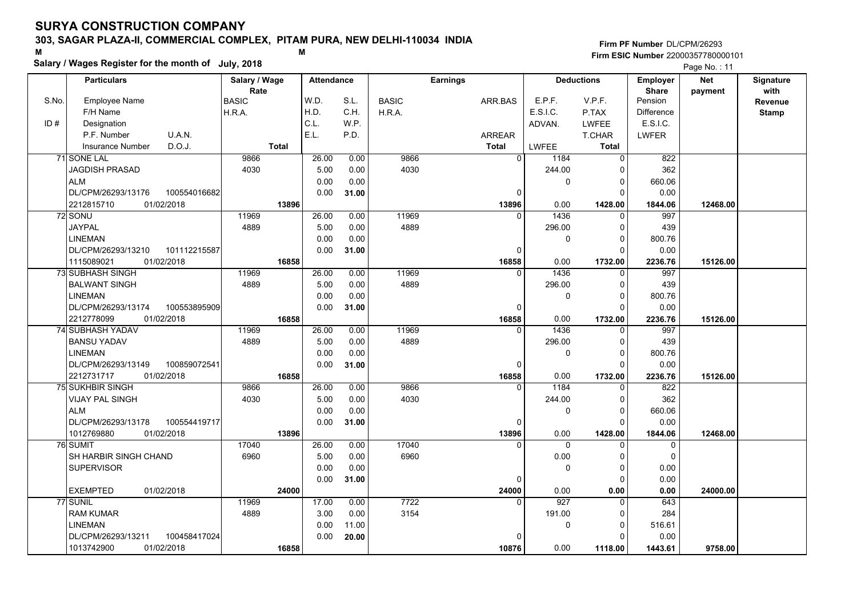## **303, SAGAR PLAZA-II, COMMERCIAL COMPLEX, PITAM PURA, NEW DELHI-110034 INDIA**

**Salary / Wages Register for the month of July, 2018 <sup>M</sup> <sup>M</sup>**

### **Firm PF Number**DL/CPM/26293**Firm ESIC Number** 22000357780000101

|       | <b>Particulars</b>                 | Salary / Wage        | <b>Attendance</b> |       |              | <b>Earnings</b> |          | <b>Deductions</b> | Employer                | <b>Net</b> | Signature       |
|-------|------------------------------------|----------------------|-------------------|-------|--------------|-----------------|----------|-------------------|-------------------------|------------|-----------------|
| S.No. | Employee Name                      | Rate<br><b>BASIC</b> | W.D.              | S.L.  | <b>BASIC</b> | ARR.BAS         | E.P.F.   | V.P.F.            | <b>Share</b><br>Pension | payment    | with<br>Revenue |
|       | F/H Name                           | H.R.A.               | H.D.              | C.H.  | H.R.A.       |                 | E.S.I.C. | P.TAX             | <b>Difference</b>       |            | <b>Stamp</b>    |
| ID#   | Designation                        |                      | C.L.              | W.P.  |              |                 | ADVAN.   | <b>LWFEE</b>      | E.S.I.C.                |            |                 |
|       | U.A.N.<br>P.F. Number              |                      | E.L.              | P.D.  |              | ARREAR          |          | T.CHAR            | <b>LWFER</b>            |            |                 |
|       | D.O.J.<br><b>Insurance Number</b>  | <b>Total</b>         |                   |       |              | <b>Total</b>    | LWFEE    | <b>Total</b>      |                         |            |                 |
|       | 71 SONE LAL                        | 9866                 | 26.00             | 0.00  | 9866         | $\overline{0}$  | 1184     | 0                 | 822                     |            |                 |
|       | <b>JAGDISH PRASAD</b>              | 4030                 | 5.00              | 0.00  | 4030         |                 | 244.00   | 0                 | 362                     |            |                 |
|       | <b>ALM</b>                         |                      | 0.00              | 0.00  |              |                 | 0        | $\mathbf 0$       | 660.06                  |            |                 |
|       | DL/CPM/26293/13176<br>100554016682 |                      | 0.00              | 31.00 |              | $\Omega$        |          | $\Omega$          | 0.00                    |            |                 |
|       | 2212815710<br>01/02/2018           | 13896                |                   |       |              | 13896           | 0.00     | 1428.00           | 1844.06                 | 12468.00   |                 |
|       | 72 SONU                            | 11969                | 26.00             | 0.00  | 11969        | $\Omega$        | 1436     | 0                 | 997                     |            |                 |
|       | <b>JAYPAL</b>                      | 4889                 | 5.00              | 0.00  | 4889         |                 | 296.00   | $\mathbf 0$       | 439                     |            |                 |
|       | <b>LINEMAN</b>                     |                      | 0.00              | 0.00  |              |                 | 0        | $\mathbf 0$       | 800.76                  |            |                 |
|       | DL/CPM/26293/13210<br>101112215587 |                      | 0.00              | 31.00 |              | 0               |          | $\mathbf 0$       | 0.00                    |            |                 |
|       | 1115089021<br>01/02/2018           | 16858                |                   |       |              | 16858           | 0.00     | 1732.00           | 2236.76                 | 15126.00   |                 |
|       | <b>73 SUBHASH SINGH</b>            | 11969                | 26.00             | 0.00  | 11969        | $\Omega$        | 1436     | 0                 | 997                     |            |                 |
|       | <b>BALWANT SINGH</b>               | 4889                 | 5.00              | 0.00  | 4889         |                 | 296.00   | $\mathbf 0$       | 439                     |            |                 |
|       | <b>LINEMAN</b>                     |                      | 0.00              | 0.00  |              |                 | 0        | $\mathbf 0$       | 800.76                  |            |                 |
|       | DL/CPM/26293/13174<br>100553895909 |                      | 0.00              | 31.00 |              | $\Omega$        |          | $\Omega$          | 0.00                    |            |                 |
|       | 2212778099<br>01/02/2018           | 16858                |                   |       |              | 16858           | 0.00     | 1732.00           | 2236.76                 | 15126.00   |                 |
|       | <b>74 SUBHASH YADAV</b>            | 11969                | 26.00             | 0.00  | 11969        | $\Omega$        | 1436     | $\mathbf 0$       | 997                     |            |                 |
|       | <b>BANSU YADAV</b>                 | 4889                 | 5.00              | 0.00  | 4889         |                 | 296.00   | $\mathbf 0$       | 439                     |            |                 |
|       | <b>LINEMAN</b>                     |                      | 0.00              | 0.00  |              |                 | 0        | $\mathbf 0$       | 800.76                  |            |                 |
|       | DL/CPM/26293/13149<br>100859072541 |                      | 0.00              | 31.00 |              | $\Omega$        |          | $\mathbf 0$       | 0.00                    |            |                 |
|       | 2212731717<br>01/02/2018           | 16858                |                   |       |              | 16858           | 0.00     | 1732.00           | 2236.76                 | 15126.00   |                 |
|       | <b>75 SUKHBIR SINGH</b>            | 9866                 | 26.00             | 0.00  | 9866         | $\Omega$        | 1184     | $\Omega$          | 822                     |            |                 |
|       | VIJAY PAL SINGH                    | 4030                 | 5.00              | 0.00  | 4030         |                 | 244.00   | $\mathbf 0$       | 362                     |            |                 |
|       | <b>ALM</b>                         |                      | 0.00              | 0.00  |              |                 | 0        | $\mathbf 0$       | 660.06                  |            |                 |
|       | DL/CPM/26293/13178<br>100554419717 |                      | 0.00              | 31.00 |              | 0               |          | $\mathbf 0$       | 0.00                    |            |                 |
|       | 1012769880<br>01/02/2018           | 13896                |                   |       |              | 13896           | 0.00     | 1428.00           | 1844.06                 | 12468.00   |                 |
|       | 76 SUMIT                           | 17040                | 26.00             | 0.00  | 17040        | $\Omega$        | $\Omega$ | $\Omega$          | $\mathbf 0$             |            |                 |
|       | SH HARBIR SINGH CHAND              | 6960                 | 5.00              | 0.00  | 6960         |                 | 0.00     | $\mathbf 0$       | $\Omega$                |            |                 |
|       | <b>SUPERVISOR</b>                  |                      | 0.00              | 0.00  |              |                 | 0        | $\mathbf 0$       | 0.00                    |            |                 |
|       |                                    |                      | 0.00              | 31.00 |              | 0               |          | $\mathbf 0$       | 0.00                    |            |                 |
|       | <b>EXEMPTED</b><br>01/02/2018      | 24000                |                   |       |              | 24000           | 0.00     | 0.00              | 0.00                    | 24000.00   |                 |
|       | 77 SUNIL                           | 11969                | 17.00             | 0.00  | 7722         | $\Omega$        | 927      | $\mathbf 0$       | 643                     |            |                 |
|       | <b>RAM KUMAR</b>                   | 4889                 | 3.00              | 0.00  | 3154         |                 | 191.00   | $\mathbf 0$       | 284                     |            |                 |
|       | <b>LINEMAN</b>                     |                      | 0.00              | 11.00 |              |                 | 0        | $\mathbf 0$       | 516.61                  |            |                 |
|       | DL/CPM/26293/13211<br>100458417024 |                      | 0.00              | 20.00 |              | $\Omega$        |          | $\Omega$          | 0.00                    |            |                 |
|       | 01/02/2018<br>1013742900           | 16858                |                   |       |              | 10876           | 0.00     | 1118.00           | 1443.61                 | 9758.00    |                 |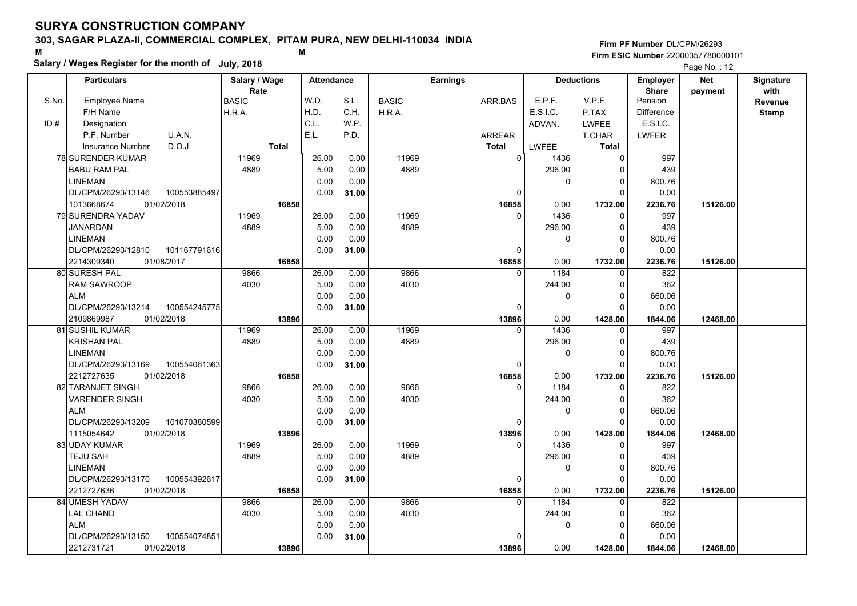## **303, SAGAR PLAZA-II, COMMERCIAL COMPLEX, PITAM PURA, NEW DELHI-110034 INDIA**

**Salary / Wages Register for the month of July, 2018 <sup>M</sup> <sup>M</sup>**

### **Firm PF Number**DL/CPM/26293**Firm ESIC Number** 22000357780000101

|       | <b>Particulars</b>                            | Salary / Wage        | <b>Attendance</b> |       |              | <b>Earnings</b> |                          | <b>Deductions</b> | <b>Employer</b>         | <b>Net</b> | Signature       |
|-------|-----------------------------------------------|----------------------|-------------------|-------|--------------|-----------------|--------------------------|-------------------|-------------------------|------------|-----------------|
| S.No. | <b>Employee Name</b>                          | Rate<br><b>BASIC</b> | W.D.              | S.L.  | <b>BASIC</b> | ARR.BAS         | E.P.F.                   | V.P.F.            | <b>Share</b><br>Pension | payment    | with<br>Revenue |
|       | F/H Name                                      | H.R.A.               | H.D.              | C.H.  | H.R.A.       |                 | E.S.I.C.                 | P.TAX             | Difference              |            | <b>Stamp</b>    |
| ID#   | Designation                                   |                      | C.L.              | W.P.  |              |                 | ADVAN.                   | <b>LWFEE</b>      | E.S.I.C.                |            |                 |
|       | P.F. Number<br>U.A.N.                         |                      | E.L.              | P.D.  |              | <b>ARREAR</b>   |                          | T.CHAR            | LWFER                   |            |                 |
|       | D.O.J.<br><b>Insurance Number</b>             | <b>Total</b>         |                   |       |              | <b>Total</b>    | LWFEE                    | Total             |                         |            |                 |
|       | <b>78 SURENDER KUMAR</b>                      | 11969                | 26.00             | 0.00  | 11969        |                 | $\overline{0}$<br>1436   | $\mathbf 0$       | 997                     |            |                 |
|       | <b>BABU RAM PAL</b>                           | 4889                 | 5.00              | 0.00  | 4889         |                 | 296.00                   | 0                 | 439                     |            |                 |
|       | <b>LINEMAN</b>                                |                      | 0.00              | 0.00  |              |                 | 0                        | $\mathbf 0$       | 800.76                  |            |                 |
|       | DL/CPM/26293/13146<br>100553885497            |                      | 0.00              |       |              |                 | $\Omega$                 | $\Omega$          | 0.00                    |            |                 |
|       |                                               |                      |                   | 31.00 |              |                 |                          |                   |                         |            |                 |
|       | 01/02/2018<br>1013668674<br>79 SURENDRA YADAV | 16858<br>11969       | 26.00             | 0.00  | 11969        | 16858           | 0.00<br>1436<br>$\Omega$ | 1732.00           | 2236.76<br>997          | 15126.00   |                 |
|       |                                               | 4889                 |                   | 0.00  | 4889         |                 |                          | 0                 |                         |            |                 |
|       | <b>JANARDAN</b>                               |                      | 5.00              |       |              |                 | 296.00                   | $\mathbf 0$       | 439                     |            |                 |
|       | <b>LINEMAN</b>                                |                      | 0.00              | 0.00  |              |                 | 0                        | $\mathbf 0$       | 800.76                  |            |                 |
|       | DL/CPM/26293/12810<br>101167791616            |                      | 0.00              | 31.00 |              |                 | $\Omega$                 | $\Omega$          | 0.00                    |            |                 |
|       | 2214309340<br>01/08/2017                      | 16858                |                   |       |              | 16858           | 0.00                     | 1732.00           | 2236.76                 | 15126.00   |                 |
|       | 80 SURESH PAL                                 | 9866                 | 26.00             | 0.00  | 9866         |                 | 1184<br>$\Omega$         | 0                 | 822                     |            |                 |
|       | <b>RAM SAWROOP</b>                            | 4030                 | 5.00              | 0.00  | 4030         |                 | 244.00                   | $\mathbf 0$       | 362                     |            |                 |
|       | <b>ALM</b>                                    |                      | 0.00              | 0.00  |              |                 | 0                        | $\mathbf 0$       | 660.06                  |            |                 |
|       | 100554245775<br>DL/CPM/26293/13214            |                      | 0.00              | 31.00 |              |                 | $\Omega$                 | $\Omega$          | 0.00                    |            |                 |
|       | 2109869987<br>01/02/2018                      | 13896                |                   |       |              | 13896           | 0.00                     | 1428.00           | 1844.06                 | 12468.00   |                 |
|       | 81 SUSHIL KUMAR                               | 11969                | 26.00             | 0.00  | 11969        |                 | 1436<br>$\Omega$         | $\mathbf 0$       | 997                     |            |                 |
|       | <b>KRISHAN PAL</b>                            | 4889                 | 5.00              | 0.00  | 4889         |                 | 296.00                   | $\mathbf 0$       | 439                     |            |                 |
|       | <b>LINEMAN</b>                                |                      | 0.00              | 0.00  |              |                 | $\Omega$                 | $\mathbf 0$       | 800.76                  |            |                 |
|       | DL/CPM/26293/13169<br>100554061363            |                      | 0.00              | 31.00 |              |                 | $\Omega$                 | $\Omega$          | 0.00                    |            |                 |
|       | 2212727635<br>01/02/2018                      | 16858                |                   |       |              | 16858           | 0.00                     | 1732.00           | 2236.76                 | 15126.00   |                 |
|       | 82 TARANJET SINGH                             | 9866                 | 26.00             | 0.00  | 9866         |                 | 1184<br>$\Omega$         | $\Omega$          | 822                     |            |                 |
|       | <b>VARENDER SINGH</b>                         | 4030                 | 5.00              | 0.00  | 4030         |                 | 244.00                   | $\mathbf 0$       | 362                     |            |                 |
|       | <b>ALM</b>                                    |                      | 0.00              | 0.00  |              |                 | 0                        | $\mathsf 0$       | 660.06                  |            |                 |
|       | 101070380599<br>DL/CPM/26293/13209            |                      | 0.00              | 31.00 |              |                 | 0                        | $\mathbf 0$       | 0.00                    |            |                 |
|       | 1115054642<br>01/02/2018                      | 13896                |                   |       |              | 13896           | 0.00                     | 1428.00           | 1844.06                 | 12468.00   |                 |
|       | 83 UDAY KUMAR                                 | 11969                | 26.00             | 0.00  | 11969        |                 | 1436<br>$\Omega$         | $\mathbf 0$       | 997                     |            |                 |
|       | <b>TEJU SAH</b>                               | 4889                 | 5.00              | 0.00  | 4889         |                 | 296.00                   | 0                 | 439                     |            |                 |
|       | <b>LINEMAN</b>                                |                      | 0.00              | 0.00  |              |                 | 0                        | $\mathbf 0$       | 800.76                  |            |                 |
|       | DL/CPM/26293/13170<br>100554392617            |                      | 0.00              | 31.00 |              |                 | $\Omega$                 | $\Omega$          | 0.00                    |            |                 |
|       | 2212727636<br>01/02/2018                      | 16858                |                   |       |              | 16858           | 0.00                     | 1732.00           | 2236.76                 | 15126.00   |                 |
|       | 84 UMESH YADAV                                | 9866                 | 26.00             | 0.00  | 9866         |                 | 1184<br>$\Omega$         | $\mathbf 0$       | 822                     |            |                 |
|       | <b>LAL CHAND</b>                              | 4030                 | 5.00              | 0.00  | 4030         |                 | 244.00                   | $\mathbf 0$       | 362                     |            |                 |
|       | <b>ALM</b>                                    |                      | 0.00              | 0.00  |              |                 | 0                        | $\mathbf 0$       | 660.06                  |            |                 |
|       | DL/CPM/26293/13150<br>100554074851            |                      | 0.00              | 31.00 |              |                 | $\Omega$                 | $\Omega$          | 0.00                    |            |                 |
|       | 2212731721<br>01/02/2018                      | 13896                |                   |       |              | 13896           | 0.00                     | 1428.00           | 1844.06                 | 12468.00   |                 |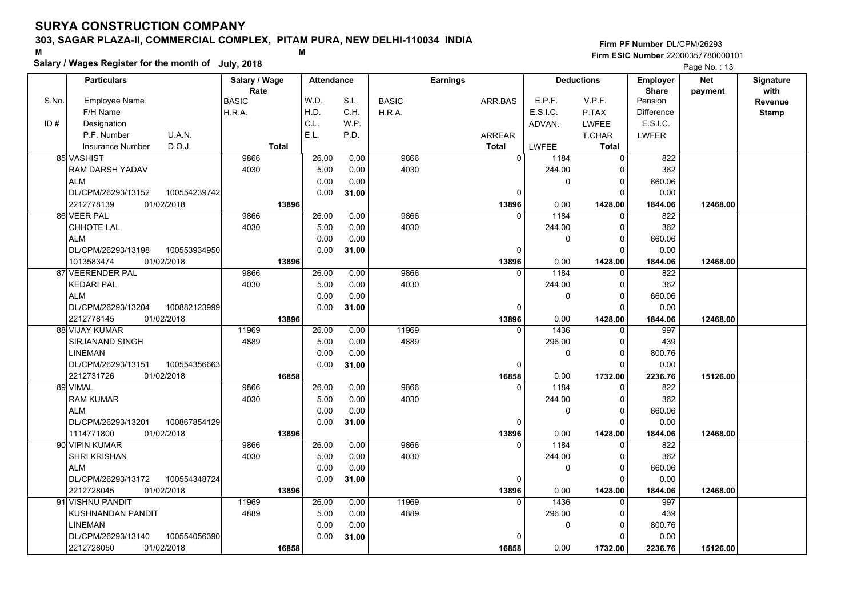## **303, SAGAR PLAZA-II, COMMERCIAL COMPLEX, PITAM PURA, NEW DELHI-110034 INDIA**

**Salary / Wages Register for the month of July, 2018 <sup>M</sup> <sup>M</sup>**

### **Firm PF Number**DL/CPM/26293**Firm ESIC Number** 22000357780000101

|       | <b>Particulars</b>                 | Salary / Wage        |       | <b>Attendance</b> |              | <b>Earnings</b> | <b>Deductions</b> |              | Employer                | <b>Net</b> | Signature       |
|-------|------------------------------------|----------------------|-------|-------------------|--------------|-----------------|-------------------|--------------|-------------------------|------------|-----------------|
| S.No. | Employee Name                      | Rate<br><b>BASIC</b> | W.D.  | S.L.              | <b>BASIC</b> | ARR.BAS         | E.P.F.            | V.P.F.       | <b>Share</b><br>Pension | payment    | with<br>Revenue |
|       | F/H Name                           | H.R.A.               | H.D.  | C.H.              | H.R.A.       |                 | E.S.I.C.          | P.TAX        | <b>Difference</b>       |            | <b>Stamp</b>    |
| ID#   | Designation                        |                      | C.L.  | W.P.              |              |                 | ADVAN.            | <b>LWFEE</b> | E.S.I.C.                |            |                 |
|       | U.A.N.<br>P.F. Number              |                      | E.L.  | P.D.              |              | ARREAR          |                   | T.CHAR       | <b>LWFER</b>            |            |                 |
|       | D.O.J.<br><b>Insurance Number</b>  | <b>Total</b>         |       |                   |              | <b>Total</b>    | LWFEE             | <b>Total</b> |                         |            |                 |
|       | 85 VASHIST                         | 9866                 | 26.00 | 0.00              | 9866         | $\overline{0}$  | 1184              | 0            | 822                     |            |                 |
|       | RAM DARSH YADAV                    | 4030                 | 5.00  | 0.00              | 4030         |                 | 244.00            | $\Omega$     | 362                     |            |                 |
|       | <b>ALM</b>                         |                      | 0.00  | 0.00              |              |                 | 0                 | 0            | 660.06                  |            |                 |
|       | DL/CPM/26293/13152<br>100554239742 |                      | 0.00  | 31.00             |              | 0               |                   | $\Omega$     | 0.00                    |            |                 |
|       | 2212778139<br>01/02/2018           | 13896                |       |                   |              | 13896           | 0.00              | 1428.00      | 1844.06                 | 12468.00   |                 |
|       | 86 VEER PAL                        | 9866                 | 26.00 | 0.00              | 9866         | $\Omega$        | 1184              | $\Omega$     | 822                     |            |                 |
|       | CHHOTE LAL                         | 4030                 | 5.00  | 0.00              | 4030         |                 | 244.00            | $\mathbf 0$  | 362                     |            |                 |
|       | <b>ALM</b>                         |                      | 0.00  | 0.00              |              |                 | 0                 | $\mathbf 0$  | 660.06                  |            |                 |
|       | DL/CPM/26293/13198<br>100553934950 |                      | 0.00  | 31.00             |              | 0               |                   | $\mathbf 0$  | 0.00                    |            |                 |
|       | 01/02/2018<br>1013583474           | 13896                |       |                   |              | 13896           | 0.00              | 1428.00      | 1844.06                 | 12468.00   |                 |
|       | 87 VEERENDER PAL                   | 9866                 | 26.00 | 0.00              | 9866         | $\Omega$        | 1184              | $\mathbf 0$  | 822                     |            |                 |
|       | <b>KEDARI PAL</b>                  | 4030                 | 5.00  | 0.00              | 4030         |                 | 244.00            | $\mathbf 0$  | 362                     |            |                 |
|       | <b>ALM</b>                         |                      | 0.00  | 0.00              |              |                 | 0                 | $\mathbf 0$  | 660.06                  |            |                 |
|       | DL/CPM/26293/13204<br>100882123999 |                      | 0.00  | 31.00             |              | $\Omega$        |                   | $\Omega$     | 0.00                    |            |                 |
|       | 01/02/2018<br>2212778145           | 13896                |       |                   |              | 13896           | 0.00              | 1428.00      | 1844.06                 | 12468.00   |                 |
|       | 88 VIJAY KUMAR                     | 11969                | 26.00 | 0.00              | 11969        |                 | 1436              | 0            | 997                     |            |                 |
|       | SIRJANAND SINGH                    | 4889                 | 5.00  | 0.00              | 4889         |                 | 296.00            | 0            | 439                     |            |                 |
|       | <b>LINEMAN</b>                     |                      | 0.00  | 0.00              |              |                 | 0                 | $\mathbf 0$  | 800.76                  |            |                 |
|       | DL/CPM/26293/13151<br>100554356663 |                      | 0.00  | 31.00             |              | $\Omega$        |                   | $\Omega$     | 0.00                    |            |                 |
|       | 2212731726<br>01/02/2018           | 16858                |       |                   |              | 16858           | 0.00              | 1732.00      | 2236.76                 | 15126.00   |                 |
|       | 89 VIMAL                           | 9866                 | 26.00 | 0.00              | 9866         | $\Omega$        | 1184              | $\Omega$     | 822                     |            |                 |
|       | <b>RAM KUMAR</b>                   | 4030                 | 5.00  | 0.00              | 4030         |                 | 244.00            | 0            | 362                     |            |                 |
|       | <b>ALM</b>                         |                      | 0.00  | 0.00              |              |                 | 0                 | $\mathbf 0$  | 660.06                  |            |                 |
|       | DL/CPM/26293/13201<br>100867854129 |                      | 0.00  | 31.00             |              | 0               |                   | $\Omega$     | 0.00                    |            |                 |
|       | 1114771800<br>01/02/2018           | 13896                |       |                   |              | 13896           | 0.00              | 1428.00      | 1844.06                 | 12468.00   |                 |
|       | 90 VIPIN KUMAR                     | 9866                 | 26.00 | 0.00              | 9866         | 0               | 1184              | $\mathbf 0$  | 822                     |            |                 |
|       | SHRI KRISHAN                       | 4030                 | 5.00  | 0.00              | 4030         |                 | 244.00            | $\mathbf 0$  | 362                     |            |                 |
|       | <b>ALM</b>                         |                      | 0.00  | 0.00              |              |                 | 0                 | $\mathbf 0$  | 660.06                  |            |                 |
|       | DL/CPM/26293/13172<br>100554348724 |                      | 0.00  | 31.00             |              | 0               |                   | $\Omega$     | 0.00                    |            |                 |
|       | 01/02/2018<br>2212728045           | 13896                |       |                   |              | 13896           | 0.00              | 1428.00      | 1844.06                 | 12468.00   |                 |
|       | 91 VISHNU PANDIT                   | 11969                | 26.00 | 0.00              | 11969        | $\Omega$        | 1436              | $\Omega$     | 997                     |            |                 |
|       | <b>KUSHNANDAN PANDIT</b>           | 4889                 | 5.00  | 0.00              | 4889         |                 | 296.00            | 0            | 439                     |            |                 |
|       | <b>LINEMAN</b>                     |                      | 0.00  | 0.00              |              |                 | 0                 | $\mathbf 0$  | 800.76                  |            |                 |
|       | DL/CPM/26293/13140<br>100554056390 |                      | 0.00  | 31.00             |              | $\Omega$        |                   | $\Omega$     | 0.00                    |            |                 |
|       | 01/02/2018<br>2212728050           | 16858                |       |                   |              | 16858           | 0.00              | 1732.00      | 2236.76                 | 15126.00   |                 |